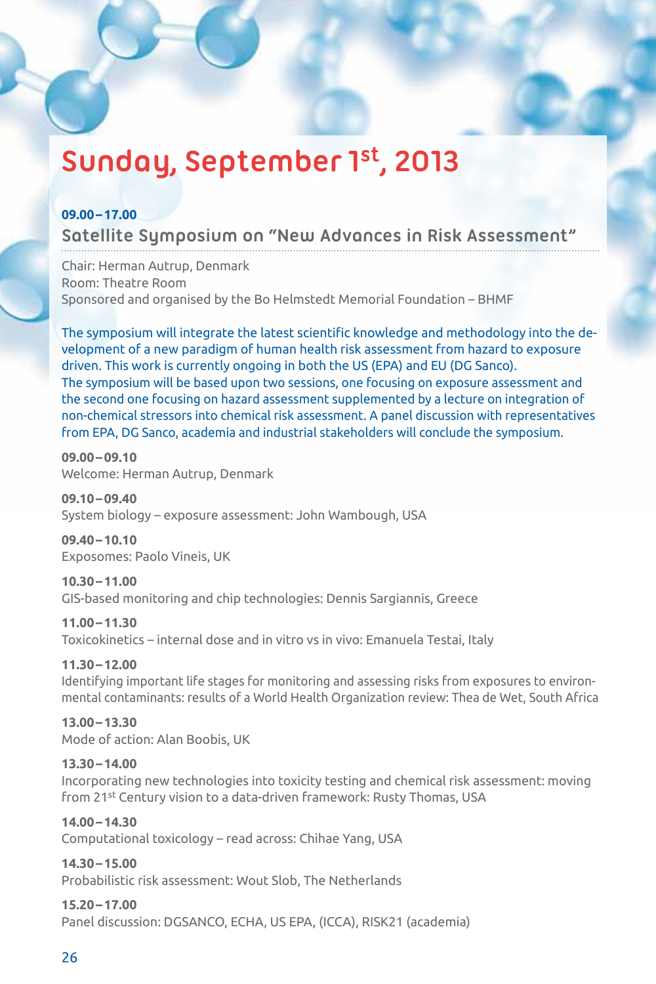# **Sunday, September 1st, 2013**

# **09.00–17.00**

# **Satellite Symposium on "New Advances in Risk Assessment"**

Chair: Herman Autrup, Denmark Room: Theatre Room Sponsored and organised by the Bo Helmstedt Memorial Foundation – BHMF

The symposium will integrate the latest scientific knowledge and methodology into the development of a new paradigm of human health risk assessment from hazard to exposure driven. This work is currently ongoing in both the US (EPA) and EU (DG Sanco). The symposium will be based upon two sessions, one focusing on exposure assessment and the second one focusing on hazard assessment supplemented by a lecture on integration of non-chemical stressors into chemical risk assessment. A panel discussion with representatives from EPA, DG Sanco, academia and industrial stakeholders will conclude the symposium.

**09.00–09.10**  Welcome: Herman Autrup, Denmark

**09.10–09.40**  System biology – exposure assessment: John Wambough, USA

**09.40–10.10** Exposomes: Paolo Vineis, UK

**10.30–11.00** GIS-based monitoring and chip technologies: Dennis Sargiannis, Greece

**11.00–11.30** Toxicokinetics – internal dose and in vitro vs in vivo: Emanuela Testai, Italy

**11.30–12.00**

Identifying important life stages for monitoring and assessing risks from exposures to environmental contaminants: results of a World Health Organization review: Thea de Wet, South Africa

**13.00–13.30** Mode of action: Alan Boobis, UK

# **13.30–14.00**

Incorporating new technologies into toxicity testing and chemical risk assessment: moving from 21st Century vision to a data-driven framework: Rusty Thomas, USA

**14.00–14.30** Computational toxicology – read across: Chihae Yang, USA

**14.30–15.00**

Probabilistic risk assessment: Wout Slob, The Netherlands

# **15.20–17.00**

Panel discussion: DGSANCO, ECHA, US EPA, (ICCA), RISK21 (academia)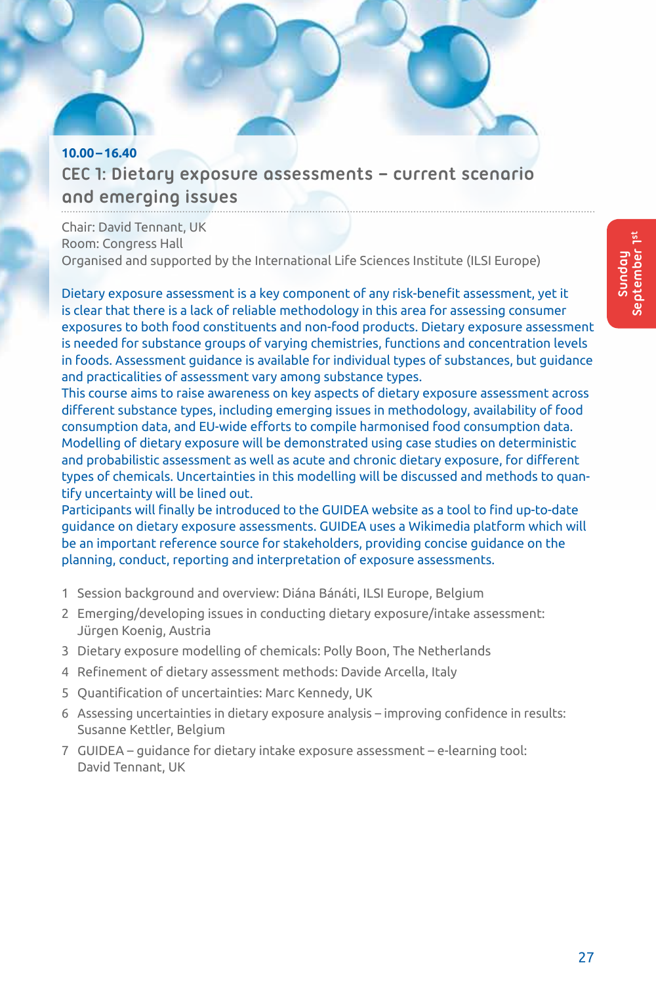# **10.00–16.40 CEC 1: Dietary exposure assessments – current scenario and emerging issues**

Chair: David Tennant, UK Room: Congress Hall Organised and supported by the International Life Sciences Institute (ILSI Europe)

Dietary exposure assessment is a key component of any risk-benefit assessment, yet it is clear that there is a lack of reliable methodology in this area for assessing consumer exposures to both food constituents and non-food products. Dietary exposure assessment is needed for substance groups of varying chemistries, functions and concentration levels in foods. Assessment guidance is available for individual types of substances, but guidance and practicalities of assessment vary among substance types.

This course aims to raise awareness on key aspects of dietary exposure assessment across different substance types, including emerging issues in methodology, availability of food consumption data, and EU-wide efforts to compile harmonised food consumption data. Modelling of dietary exposure will be demonstrated using case studies on deterministic and probabilistic assessment as well as acute and chronic dietary exposure, for different types of chemicals. Uncertainties in this modelling will be discussed and methods to quantify uncertainty will be lined out.

Participants will finally be introduced to the GUIDEA website as a tool to find up-to-date guidance on dietary exposure assessments. GUIDEA uses a Wikimedia platform which will be an important reference source for stakeholders, providing concise guidance on the planning, conduct, reporting and interpretation of exposure assessments.

- 1 Session background and overview: Diána Bánáti, ILSI Europe, Belgium
- 2 Emerging/developing issues in conducting dietary exposure/intake assessment: Jürgen Koenig, Austria
- 3 Dietary exposure modelling of chemicals: Polly Boon, The Netherlands
- 4 Refinement of dietary assessment methods: Davide Arcella, Italy
- 5 Quantification of uncertainties: Marc Kennedy, UK
- 6 Assessing uncertainties in dietary exposure analysis improving confidence in results: Susanne Kettler, Belgium
- 7 GUIDEA guidance for dietary intake exposure assessment e-learning tool: David Tennant, UK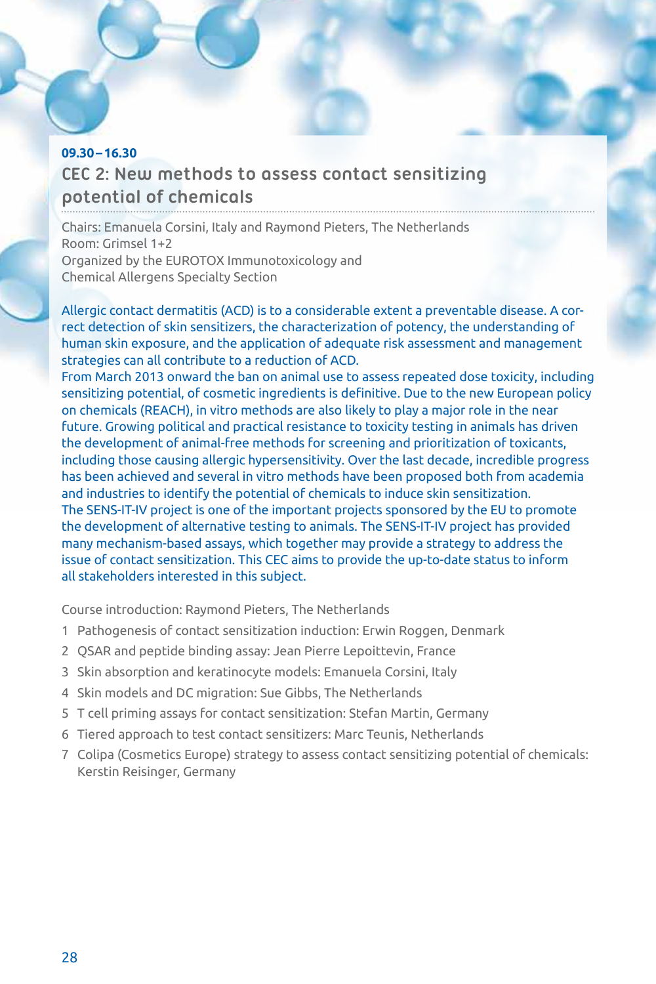# **09.30–16.30 CEC 2: New methods to assess contact sensitizing potential of chemicals**

Chairs: Emanuela Corsini, Italy and Raymond Pieters, The Netherlands Room: Grimsel 1+2 Organized by the EUROTOX Immunotoxicology and Chemical Allergens Specialty Section

Allergic contact dermatitis (ACD) is to a considerable extent a preventable disease. A correct detection of skin sensitizers, the characterization of potency, the understanding of human skin exposure, and the application of adequate risk assessment and management strategies can all contribute to a reduction of ACD.

From March 2013 onward the ban on animal use to assess repeated dose toxicity, including sensitizing potential, of cosmetic ingredients is definitive. Due to the new European policy on chemicals (REACH), in vitro methods are also likely to play a major role in the near future. Growing political and practical resistance to toxicity testing in animals has driven the development of animal-free methods for screening and prioritization of toxicants, including those causing allergic hypersensitivity. Over the last decade, incredible progress has been achieved and several in vitro methods have been proposed both from academia and industries to identify the potential of chemicals to induce skin sensitization. The SENS-IT-IV project is one of the important projects sponsored by the EU to promote the development of alternative testing to animals. The SENS-IT-IV project has provided many mechanism-based assays, which together may provide a strategy to address the issue of contact sensitization. This CEC aims to provide the up-to-date status to inform all stakeholders interested in this subject.

Course introduction: Raymond Pieters, The Netherlands

- 1 Pathogenesis of contact sensitization induction: Erwin Roggen, Denmark
- 2 QSAR and peptide binding assay: Jean Pierre Lepoittevin, France
- 3 Skin absorption and keratinocyte models: Emanuela Corsini, Italy
- 4 Skin models and DC migration: Sue Gibbs, The Netherlands
- 5 T cell priming assays for contact sensitization: Stefan Martin, Germany
- 6 Tiered approach to test contact sensitizers: Marc Teunis, Netherlands
- 7 Colipa (Cosmetics Europe) strategy to assess contact sensitizing potential of chemicals: Kerstin Reisinger, Germany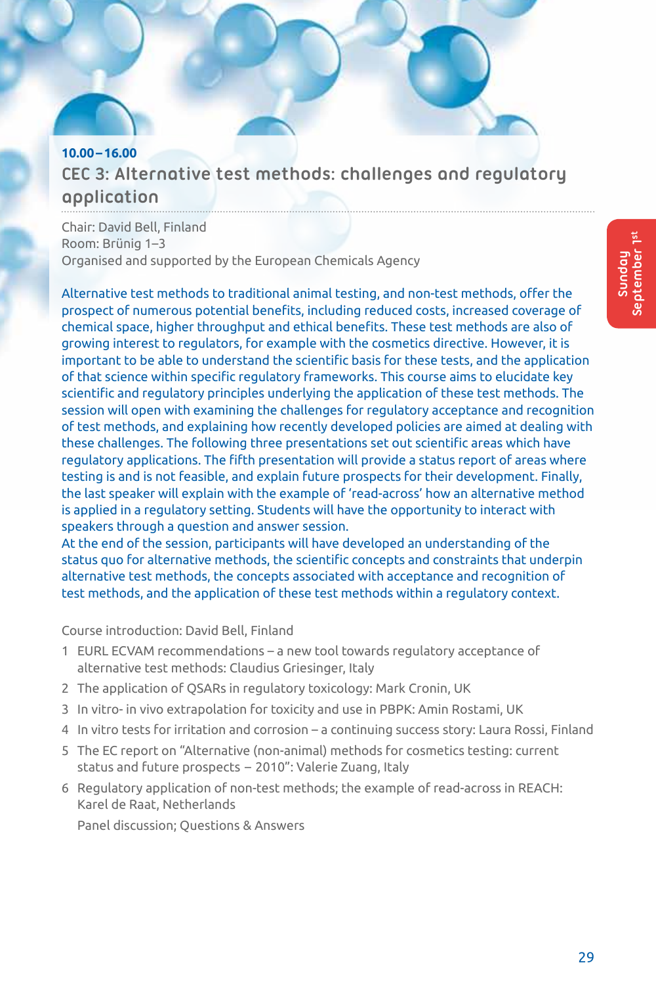# **10.00–16.00 CEC 3: Alternative test methods: challenges and regulatory application**

Chair: David Bell, Finland Room: Brünig 1–3 Organised and supported by the European Chemicals Agency

Alternative test methods to traditional animal testing, and non-test methods, offer the prospect of numerous potential benefits, including reduced costs, increased coverage of chemical space, higher throughput and ethical benefits. These test methods are also of growing interest to regulators, for example with the cosmetics directive. However, it is important to be able to understand the scientific basis for these tests, and the application of that science within specific regulatory frameworks. This course aims to elucidate key scientific and regulatory principles underlying the application of these test methods. The session will open with examining the challenges for regulatory acceptance and recognition of test methods, and explaining how recently developed policies are aimed at dealing with these challenges. The following three presentations set out scientific areas which have regulatory applications. The fifth presentation will provide a status report of areas where testing is and is not feasible, and explain future prospects for their development. Finally, the last speaker will explain with the example of 'read-across' how an alternative method is applied in a regulatory setting. Students will have the opportunity to interact with speakers through a question and answer session.

At the end of the session, participants will have developed an understanding of the status quo for alternative methods, the scientific concepts and constraints that underpin alternative test methods, the concepts associated with acceptance and recognition of test methods, and the application of these test methods within a regulatory context.

Course introduction: David Bell, Finland

- 1 EURL ECVAM recommendations a new tool towards regulatory acceptance of alternative test methods: Claudius Griesinger, Italy
- 2 The application of QSARs in regulatory toxicology: Mark Cronin, UK
- 3 In vitro- in vivo extrapolation for toxicity and use in PBPK: Amin Rostami, UK
- 4 In vitro tests for irritation and corrosion a continuing success story: Laura Rossi, Finland
- 5 The EC report on "Alternative (non-animal) methods for cosmetics testing: current status and future prospects – 2010": Valerie Zuang, Italy
- 6 Regulatory application of non-test methods; the example of read-across in REACH: Karel de Raat, Netherlands

Panel discussion; Questions & Answers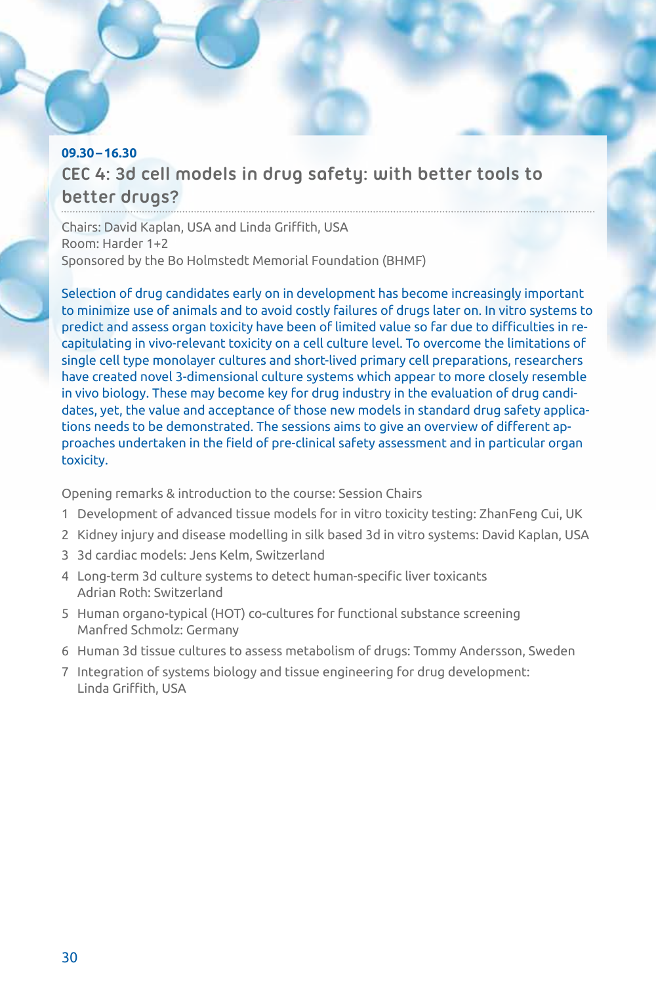# **09.30–16.30 CEC 4: 3d cell models in drug safety: with better tools to better drugs?**

Chairs: David Kaplan, USA and Linda Griffith, USA Room: Harder 1+2 Sponsored by the Bo Holmstedt Memorial Foundation (BHMF)

Selection of drug candidates early on in development has become increasingly important to minimize use of animals and to avoid costly failures of drugs later on. In vitro systems to predict and assess organ toxicity have been of limited value so far due to difficulties in recapitulating in vivo-relevant toxicity on a cell culture level. To overcome the limitations of single cell type monolayer cultures and short-lived primary cell preparations, researchers have created novel 3-dimensional culture systems which appear to more closely resemble in vivo biology. These may become key for drug industry in the evaluation of drug candidates, yet, the value and acceptance of those new models in standard drug safety applications needs to be demonstrated. The sessions aims to give an overview of different approaches undertaken in the field of pre-clinical safety assessment and in particular organ toxicity.

Opening remarks & introduction to the course: Session Chairs

- 1 Development of advanced tissue models for in vitro toxicity testing: ZhanFeng Cui, UK
- 2 Kidney injury and disease modelling in silk based 3d in vitro systems: David Kaplan, USA
- 3 3d cardiac models: Jens Kelm, Switzerland
- 4 Long-term 3d culture systems to detect human-specific liver toxicants Adrian Roth: Switzerland
- 5 Human organo-typical (HOT) co-cultures for functional substance screening Manfred Schmolz: Germany
- 6 Human 3d tissue cultures to assess metabolism of drugs: Tommy Andersson, Sweden
- 7 Integration of systems biology and tissue engineering for drug development: Linda Griffith, USA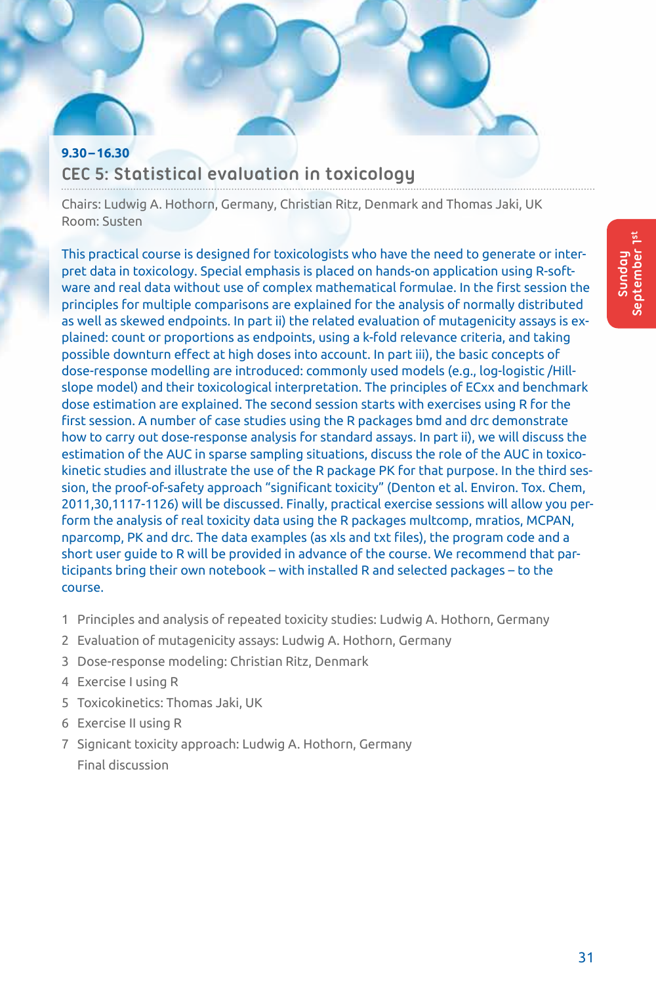# **9.30–16.30 CEC 5: Statistical evaluation in toxicology**

Chairs: Ludwig A. Hothorn, Germany, Christian Ritz, Denmark and Thomas Jaki, UK Room: Susten

This practical course is designed for toxicologists who have the need to generate or interpret data in toxicology. Special emphasis is placed on hands-on application using R-software and real data without use of complex mathematical formulae. In the first session the principles for multiple comparisons are explained for the analysis of normally distributed as well as skewed endpoints. In part ii) the related evaluation of mutagenicity assays is explained: count or proportions as endpoints, using a k-fold relevance criteria, and taking possible downturn effect at high doses into account. In part iii), the basic concepts of dose-response modelling are introduced: commonly used models (e.g., log-logistic /Hillslope model) and their toxicological interpretation. The principles of ECxx and benchmark dose estimation are explained. The second session starts with exercises using R for the first session. A number of case studies using the R packages bmd and drc demonstrate how to carry out dose-response analysis for standard assays. In part ii), we will discuss the estimation of the AUC in sparse sampling situations, discuss the role of the AUC in toxicokinetic studies and illustrate the use of the R package PK for that purpose. In the third session, the proof-of-safety approach "significant toxicity" (Denton et al. Environ. Tox. Chem, 2011,30,1117-1126) will be discussed. Finally, practical exercise sessions will allow you perform the analysis of real toxicity data using the R packages multcomp, mratios, MCPAN, nparcomp, PK and drc. The data examples (as xls and txt files), the program code and a short user guide to R will be provided in advance of the course. We recommend that participants bring their own notebook – with installed R and selected packages – to the course.

- 1 Principles and analysis of repeated toxicity studies: Ludwig A. Hothorn, Germany
- 2 Evaluation of mutagenicity assays: Ludwig A. Hothorn, Germany
- 3 Dose-response modeling: Christian Ritz, Denmark
- 4 Exercise I using R
- 5 Toxicokinetics: Thomas Jaki, UK
- 6 Exercise II using R
- 7 Signicant toxicity approach: Ludwig A. Hothorn, Germany Final discussion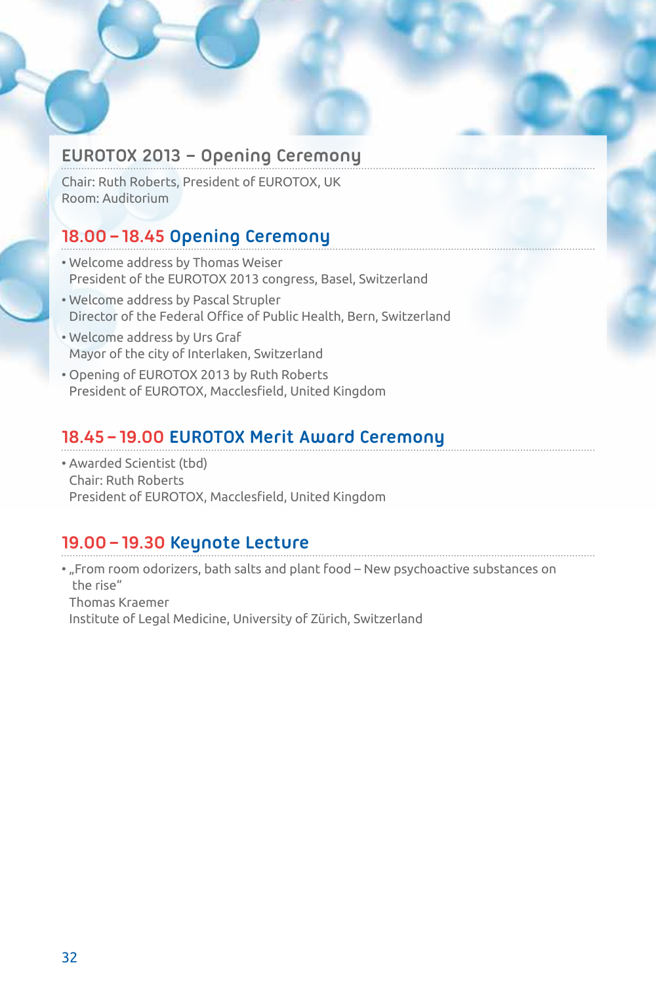# **EUROTOX 2013 – Opening Ceremony**

Chair: Ruth Roberts, President of EUROTOX, UK Room: Auditorium

# **18.00–18.45 Opening Ceremony**

- Welcome address by Thomas Weiser President of the EUROTOX 2013 congress, Basel, Switzerland
- Welcome address by Pascal Strupler Director of the Federal Office of Public Health, Bern, Switzerland
- Welcome address by Urs Graf Mayor of the city of Interlaken, Switzerland
- Opening of EUROTOX 2013 by Ruth Roberts President of EUROTOX, Macclesfield, United Kingdom

# **18.45–19.00 EUROTOX Merit Award Ceremony**

• Awarded Scientist (tbd) Chair: Ruth Roberts President of EUROTOX, Macclesfield, United Kingdom

# **19.00–19.30 Keynote Lecture**

• "From room odorizers, bath salts and plant food – New psychoactive substances on the rise" Thomas Kraemer Institute of Legal Medicine, University of Zürich, Switzerland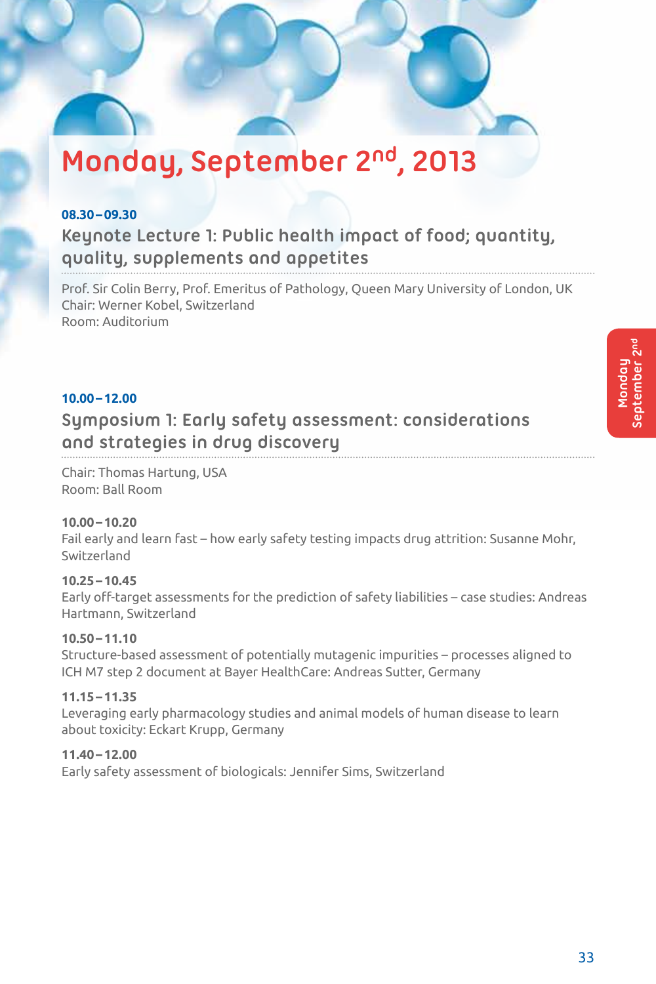# **Monday, September 2nd, 2013**

# **08.30–09.30**

# **Keynote Lecture 1: Public health impact of food; quantity, quality, supplements and appetites**

Prof. Sir Colin Berry, Prof. Emeritus of Pathology, Queen Mary University of London, UK Chair: Werner Kobel, Switzerland Room: Auditorium

# **10.00–12.00**

# **Symposium 1: Early safety assessment: considerations and strategies in drug discovery**

Chair: Thomas Hartung, USA Room: Ball Room

# **10.00–10.20**

Fail early and learn fast – how early safety testing impacts drug attrition: Susanne Mohr, Switzerland

# **10.25–10.45**

Early off-target assessments for the prediction of safety liabilities – case studies: Andreas Hartmann, Switzerland

# **10.50–11.10**

Structure-based assessment of potentially mutagenic impurities – processes aligned to ICH M7 step 2 document at Bayer HealthCare: Andreas Sutter, Germany

# **11.15–11.35**

Leveraging early pharmacology studies and animal models of human disease to learn about toxicity: Eckart Krupp, Germany

# **11.40–12.00**

Early safety assessment of biologicals: Jennifer Sims, Switzerland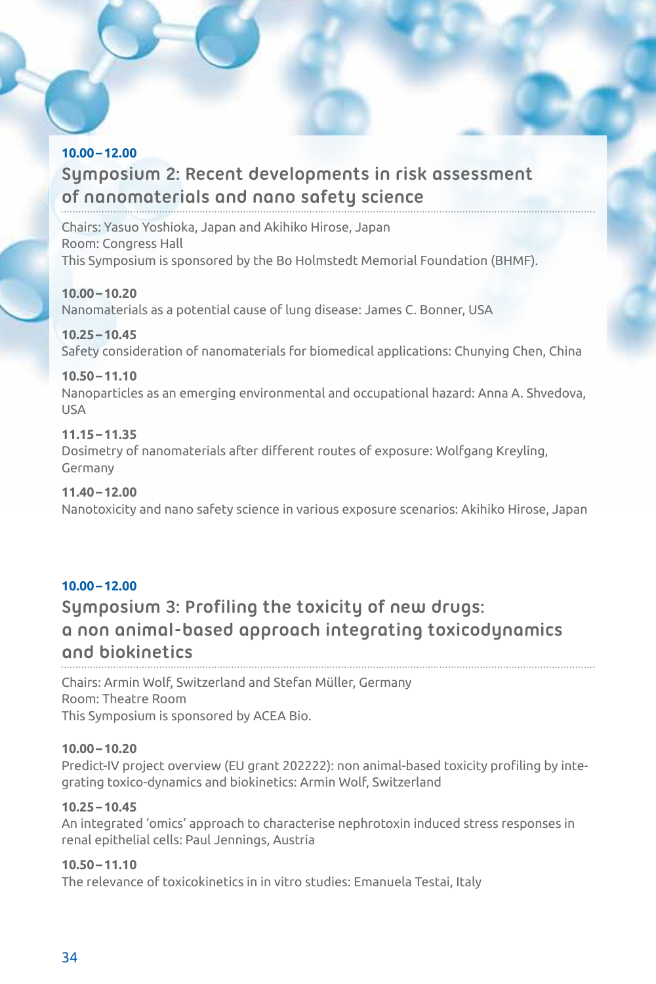# **10.00–12.00 Symposium 2: Recent developments in risk assessment of nanomaterials and nano safety science**

Chairs: Yasuo Yoshioka, Japan and Akihiko Hirose, Japan Room: Congress Hall This Symposium is sponsored by the Bo Holmstedt Memorial Foundation (BHMF).

**10.00–10.20** Nanomaterials as a potential cause of lung disease: James C. Bonner, USA

# **10.25–10.45**

Safety consideration of nanomaterials for biomedical applications: Chunying Chen, China

# **10.50–11.10**

Nanoparticles as an emerging environmental and occupational hazard: Anna A. Shvedova, USA

# **11.15–11.35**

Dosimetry of nanomaterials after different routes of exposure: Wolfgang Kreyling, Germany

# **11.40–12.00**

Nanotoxicity and nano safety science in various exposure scenarios: Akihiko Hirose, Japan

# **10.00–12.00**

# **Symposium 3: Profiling the toxicity of new drugs: a non animal-based approach integrating toxicodynamics and biokinetics**

Chairs: Armin Wolf, Switzerland and Stefan Müller, Germany Room: Theatre Room This Symposium is sponsored by ACEA Bio.

# **10.00–10.20**

Predict-IV project overview (EU grant 202222): non animal-based toxicity profiling by integrating toxico-dynamics and biokinetics: Armin Wolf, Switzerland

# **10.25–10.45**

An integrated 'omics' approach to characterise nephrotoxin induced stress responses in renal epithelial cells: Paul Jennings, Austria

# **10.50–11.10**

The relevance of toxicokinetics in in vitro studies: Emanuela Testai, Italy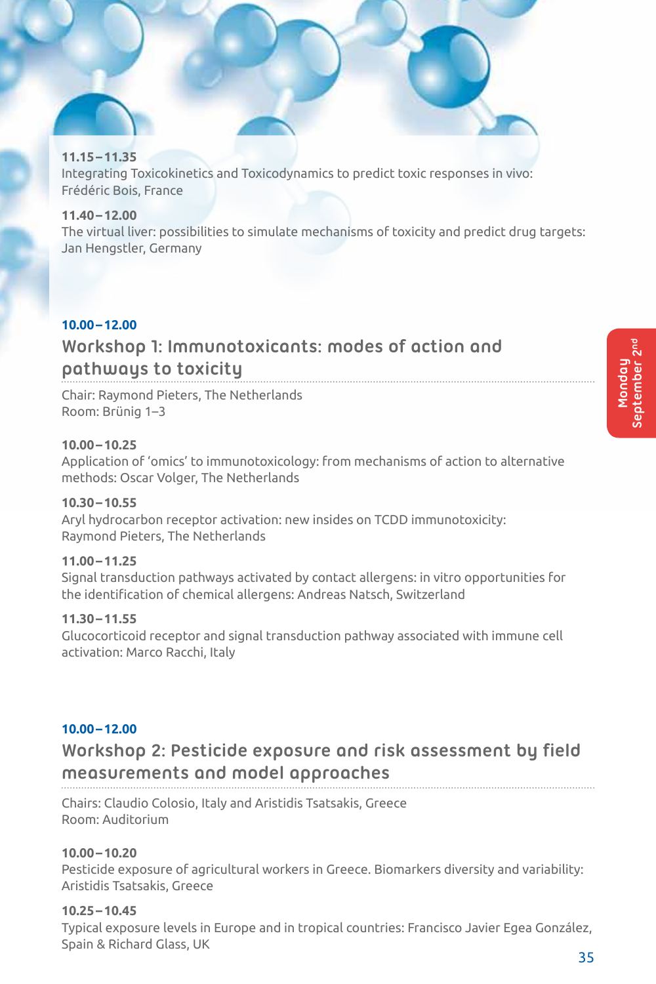# **11.15–11.35**

Integrating Toxicokinetics and Toxicodynamics to predict toxic responses in vivo: Frédéric Bois, France

# **11.40–12.00**

The virtual liver: possibilities to simulate mechanisms of toxicity and predict drug targets: Jan Hengstler, Germany

# **10.00–12.00**

# **Workshop 1: Immunotoxicants: modes of action and pathways to toxicity**

Chair: Raymond Pieters, The Netherlands Room: Brünig 1–3

# **10.00–10.25**

Application of 'omics' to immunotoxicology: from mechanisms of action to alternative methods: Oscar Volger, The Netherlands

# **10.30–10.55**

Aryl hydrocarbon receptor activation: new insides on TCDD immunotoxicity: Raymond Pieters, The Netherlands

# **11.00–11.25**

Signal transduction pathways activated by contact allergens: in vitro opportunities for the identification of chemical allergens: Andreas Natsch, Switzerland

# **11.30–11.55**

Glucocorticoid receptor and signal transduction pathway associated with immune cell activation: Marco Racchi, Italy

# **10.00–12.00**

# **Workshop 2: Pesticide exposure and risk assessment by field measurements and model approaches**

Chairs: Claudio Colosio, Italy and Aristidis Tsatsakis, Greece Room: Auditorium

# **10.00–10.20**

Pesticide exposure of agricultural workers in Greece. Biomarkers diversity and variability: Aristidis Tsatsakis, Greece

# **10.25–10.45**

Typical exposure levels in Europe and in tropical countries: Francisco Javier Egea González, Spain & Richard Glass, UK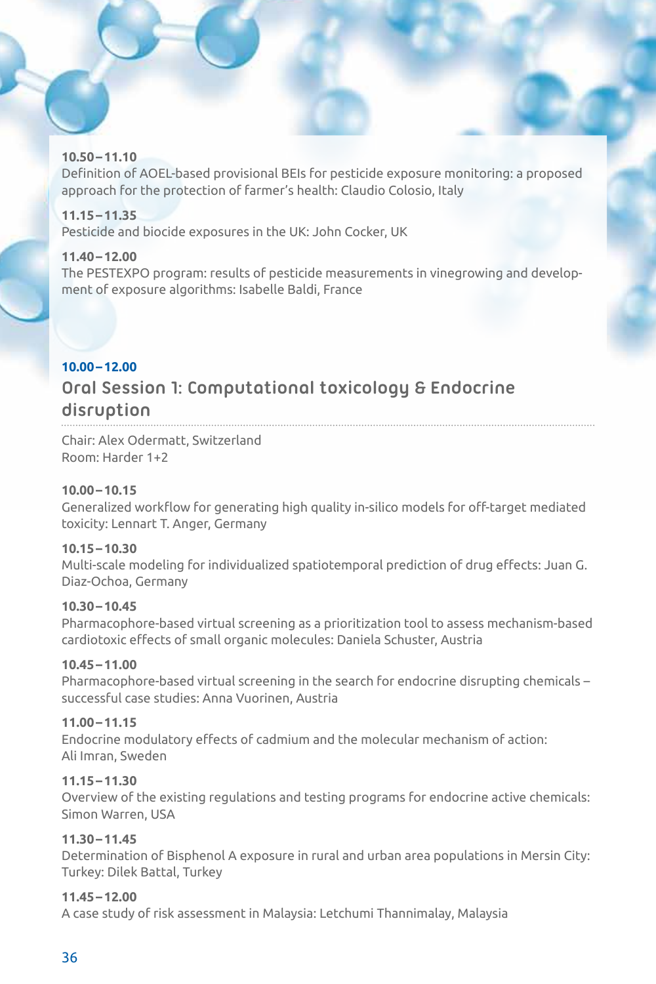# **10.50–11.10**

Definition of AOEL-based provisional BEIs for pesticide exposure monitoring: a proposed approach for the protection of farmer's health: Claudio Colosio, Italy

# **11.15–11.35**

Pesticide and biocide exposures in the UK: John Cocker, UK

# **11.40–12.00**

The PESTEXPO program: results of pesticide measurements in vinegrowing and development of exposure algorithms: Isabelle Baldi, France

# **10.00–12.00**

# **Oral Session 1: Computational toxicology & Endocrine disruption**

Chair: Alex Odermatt, Switzerland Room: Harder 1+2

# **10.00–10.15**

Generalized workflow for generating high quality in-silico models for off-target mediated toxicity: Lennart T. Anger, Germany

# **10.15–10.30**

Multi-scale modeling for individualized spatiotemporal prediction of drug effects: Juan G. Diaz-Ochoa, Germany

# **10.30–10.45**

Pharmacophore-based virtual screening as a prioritization tool to assess mechanism-based cardiotoxic effects of small organic molecules: Daniela Schuster, Austria

# **10.45–11.00**

Pharmacophore-based virtual screening in the search for endocrine disrupting chemicals – successful case studies: Anna Vuorinen, Austria

# **11.00–11.15**

Endocrine modulatory effects of cadmium and the molecular mechanism of action: Ali Imran, Sweden

# **11.15–11.30**

Overview of the existing regulations and testing programs for endocrine active chemicals: Simon Warren, USA

# **11.30–11.45**

Determination of Bisphenol A exposure in rural and urban area populations in Mersin City: Turkey: Dilek Battal, Turkey

# **11.45–12.00**

A case study of risk assessment in Malaysia: Letchumi Thannimalay, Malaysia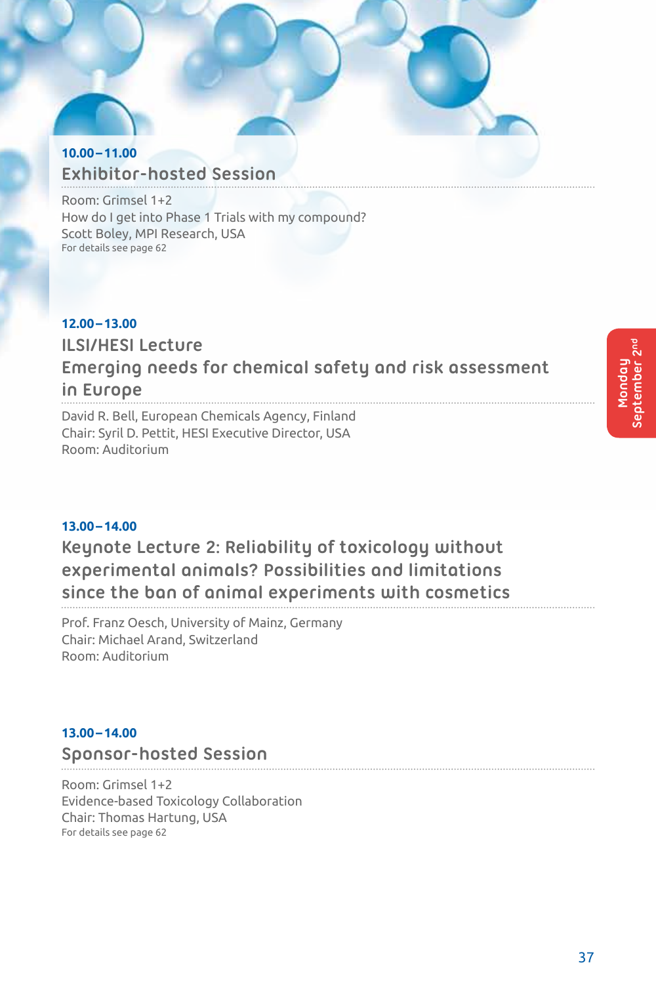# **10.00–11.00 Exhibitor-hosted Session**

Room: Grimsel 1+2 How do I get into Phase 1 Trials with my compound? Scott Boley, MPI Research, USA For details see page 62

# **12.00–13.00 ILSI/HESI Lecture Emerging needs for chemical safety and risk assessment in Europe** David R. Bell, European Chemicals Agency, Finland

Chair: Syril D. Pettit, HESI Executive Director, USA Room: Auditorium

# **13.00–14.00**

# **Keynote Lecture 2: Reliability of toxicology without experimental animals? Possibilities and limitations since the ban of animal experiments with cosmetics**

Prof. Franz Oesch, University of Mainz, Germany Chair: Michael Arand, Switzerland Room: Auditorium

# **13.00–14.00**

# **Sponsor-hosted Session**

Room: Grimsel 1+2 Evidence-based Toxicology Collaboration Chair: Thomas Hartung, USA For details see page 62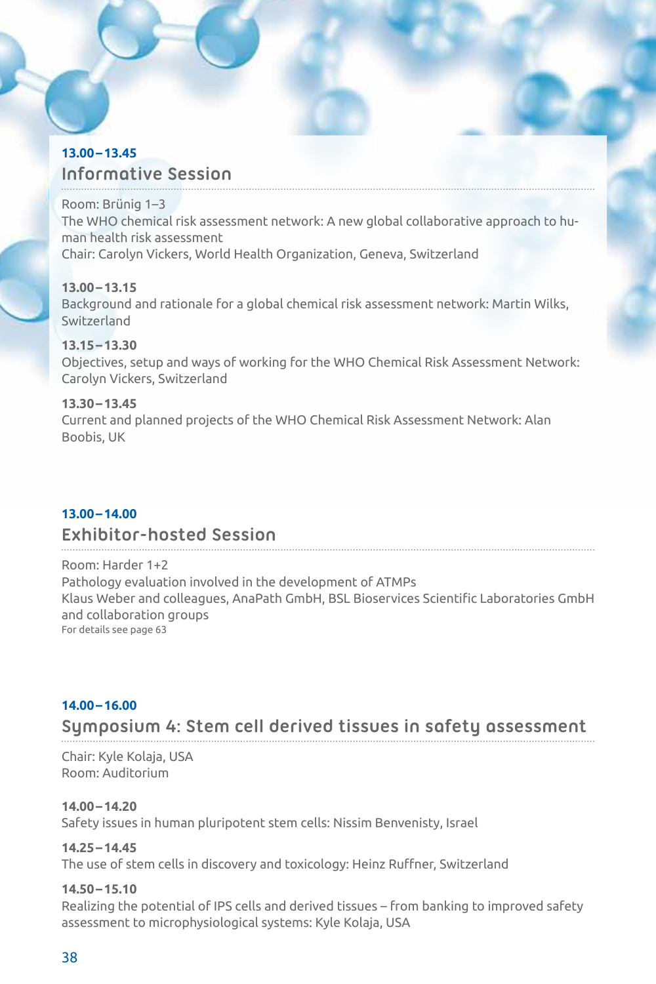# **13.00–13.45 Informative Session**

Room: Brünig 1–3 The WHO chemical risk assessment network: A new global collaborative approach to human health risk assessment Chair: Carolyn Vickers, World Health Organization, Geneva, Switzerland

#### **13.00–13.15**

Background and rationale for a global chemical risk assessment network: Martin Wilks, Switzerland

# **13.15–13.30**

Objectives, setup and ways of working for the WHO Chemical Risk Assessment Network: Carolyn Vickers, Switzerland

#### **13.30–13.45**

Current and planned projects of the WHO Chemical Risk Assessment Network: Alan Boobis, UK

# **13.00–14.00**

# **Exhibitor-hosted Session**

Room: Harder 1+2 Pathology evaluation involved in the development of ATMPs Klaus Weber and colleagues, AnaPath GmbH, BSL Bioservices Scientific Laboratories GmbH and collaboration groups For details see page 63

# **14.00–16.00**

**Symposium 4: Stem cell derived tissues in safety assessment**

Chair: Kyle Kolaja, USA Room: Auditorium

# **14.00–14.20**

Safety issues in human pluripotent stem cells: Nissim Benvenisty, Israel

# **14.25–14.45**

The use of stem cells in discovery and toxicology: Heinz Ruffner, Switzerland

# **14.50–15.10**

Realizing the potential of IPS cells and derived tissues – from banking to improved safety assessment to microphysiological systems: Kyle Kolaja, USA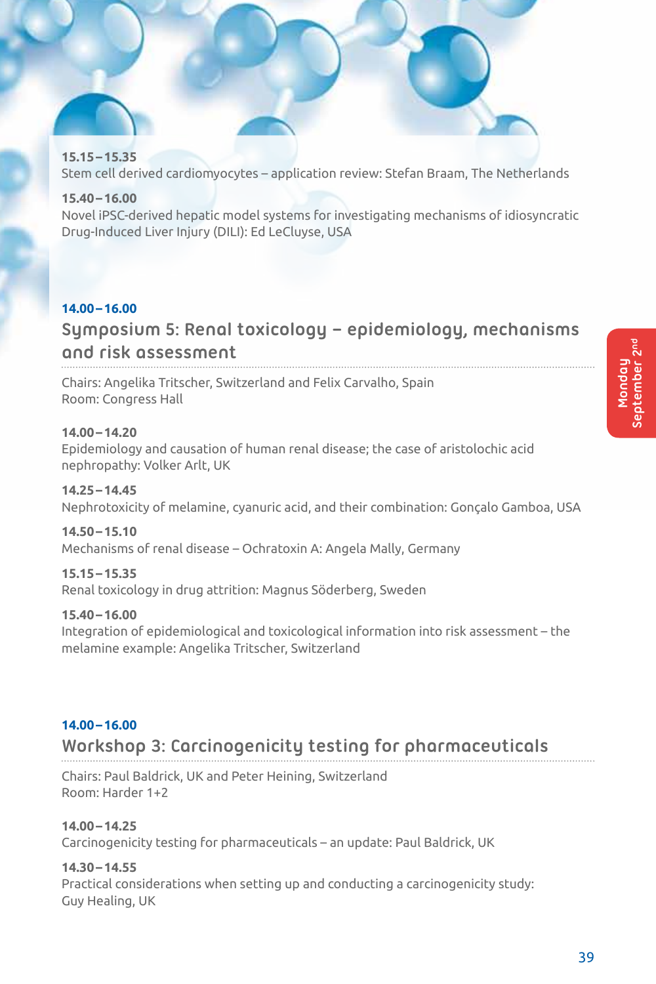# **15.15–15.35**

Stem cell derived cardiomyocytes – application review: Stefan Braam, The Netherlands

# **15.40–16.00**

Novel iPSC-derived hepatic model systems for investigating mechanisms of idiosyncratic Drug-Induced Liver Injury (DILI): Ed LeCluyse, USA

# **14.00–16.00**

# **Symposium 5: Renal toxicology – epidemiology, mechanisms and risk assessment**

Chairs: Angelika Tritscher, Switzerland and Felix Carvalho, Spain Room: Congress Hall

# **14.00–14.20**

Epidemiology and causation of human renal disease; the case of aristolochic acid nephropathy: Volker Arlt, UK

# **14.25–14.45**

Nephrotoxicity of melamine, cyanuric acid, and their combination: Gonçalo Gamboa, USA

# **14.50–15.10**

Mechanisms of renal disease – Ochratoxin A: Angela Mally, Germany

# **15.15–15.35**

Renal toxicology in drug attrition: Magnus Söderberg, Sweden

# **15.40–16.00**

Integration of epidemiological and toxicological information into risk assessment – the melamine example: Angelika Tritscher, Switzerland

# **14.00–16.00**

# **Workshop 3: Carcinogenicity testing for pharmaceuticals**

Chairs: Paul Baldrick, UK and Peter Heining, Switzerland Room: Harder 1+2

# **14.00–14.25**

Carcinogenicity testing for pharmaceuticals – an update: Paul Baldrick, UK

# **14.30–14.55**

Practical considerations when setting up and conducting a carcinogenicity study: Guy Healing, UK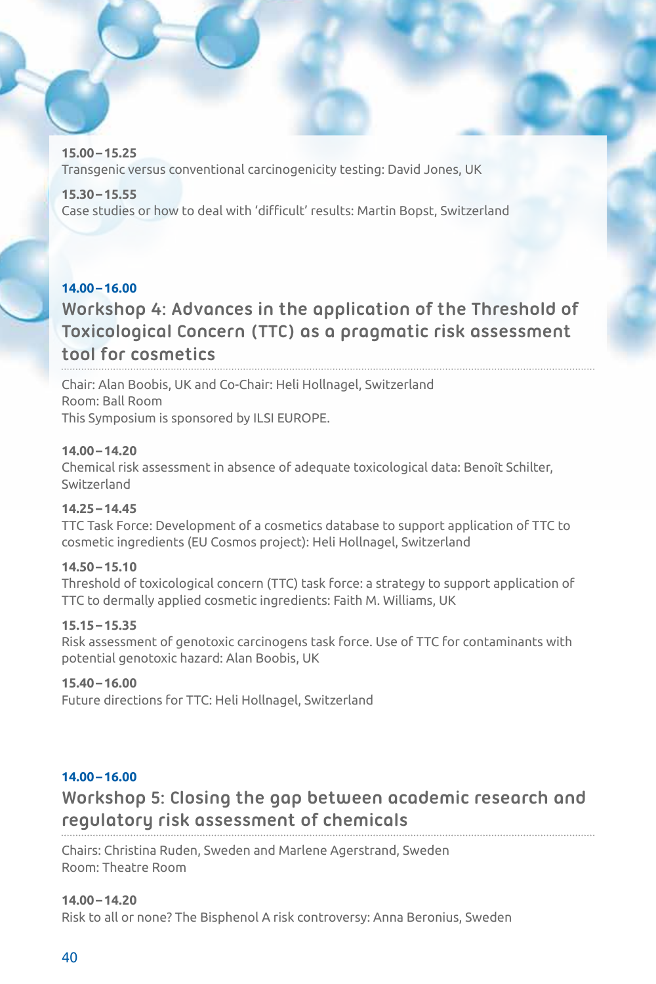**15.00–15.25** Transgenic versus conventional carcinogenicity testing: David Jones, UK

**15.30–15.55** Case studies or how to deal with 'difficult' results: Martin Bopst, Switzerland

# **14.00–16.00**

# **Workshop 4: Advances in the application of the Threshold of Toxicological Concern (TTC) as a pragmatic risk assessment tool for cosmetics**

Chair: Alan Boobis, UK and Co-Chair: Heli Hollnagel, Switzerland Room: Ball Room This Symposium is sponsored by ILSI EUROPE.

# **14.00–14.20**

Chemical risk assessment in absence of adequate toxicological data: Benoît Schilter, Switzerland

# **14.25–14.45**

TTC Task Force: Development of a cosmetics database to support application of TTC to cosmetic ingredients (EU Cosmos project): Heli Hollnagel, Switzerland

# **14.50–15.10**

Threshold of toxicological concern (TTC) task force: a strategy to support application of TTC to dermally applied cosmetic ingredients: Faith M. Williams, UK

# **15.15–15.35**

Risk assessment of genotoxic carcinogens task force. Use of TTC for contaminants with potential genotoxic hazard: Alan Boobis, UK

# **15.40–16.00**

Future directions for TTC: Heli Hollnagel, Switzerland

# **14.00–16.00**

# **Workshop 5: Closing the gap between academic research and regulatory risk assessment of chemicals**

Chairs: Christina Ruden, Sweden and Marlene Agerstrand, Sweden Room: Theatre Room

# **14.00–14.20**

Risk to all or none? The Bisphenol A risk controversy: Anna Beronius, Sweden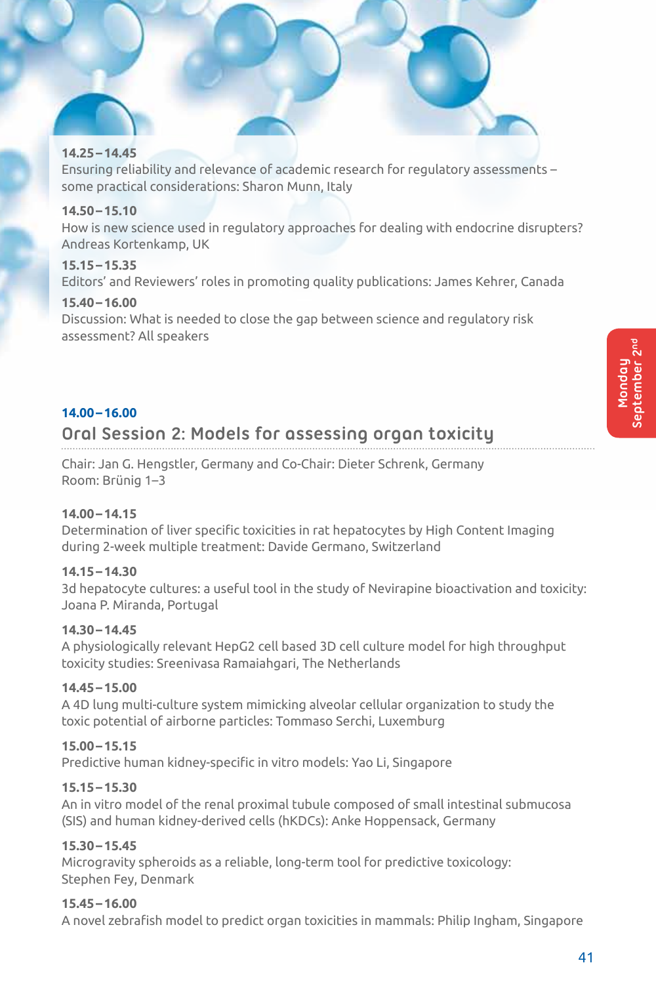#### **14.25–14.45**

Ensuring reliability and relevance of academic research for regulatory assessments – some practical considerations: Sharon Munn, Italy

#### **14.50–15.10**

How is new science used in regulatory approaches for dealing with endocrine disrupters? Andreas Kortenkamp, UK

#### **15.15–15.35**

Editors' and Reviewers' roles in promoting quality publications: James Kehrer, Canada

# **15.40–16.00**

Discussion: What is needed to close the gap between science and regulatory risk assessment? All speakers

# **14.00–16.00**

# **Oral Session 2: Models for assessing organ toxicity**

Chair: Jan G. Hengstler, Germany and Co-Chair: Dieter Schrenk, Germany Room: Brünig 1–3

# **14.00–14.15**

Determination of liver specific toxicities in rat hepatocytes by High Content Imaging during 2-week multiple treatment: Davide Germano, Switzerland

# **14.15–14.30**

3d hepatocyte cultures: a useful tool in the study of Nevirapine bioactivation and toxicity: Joana P. Miranda, Portugal

# **14.30–14.45**

A physiologically relevant HepG2 cell based 3D cell culture model for high throughput toxicity studies: Sreenivasa Ramaiahgari, The Netherlands

#### **14.45–15.00**

A 4D lung multi-culture system mimicking alveolar cellular organization to study the toxic potential of airborne particles: Tommaso Serchi, Luxemburg

# **15.00–15.15**

Predictive human kidney-specific in vitro models: Yao Li, Singapore

# **15.15–15.30**

An in vitro model of the renal proximal tubule composed of small intestinal submucosa (SIS) and human kidney-derived cells (hKDCs): Anke Hoppensack, Germany

# **15.30–15.45**

Microgravity spheroids as a reliable, long-term tool for predictive toxicology: Stephen Fey, Denmark

# **15.45–16.00**

A novel zebrafish model to predict organ toxicities in mammals: Philip Ingham, Singapore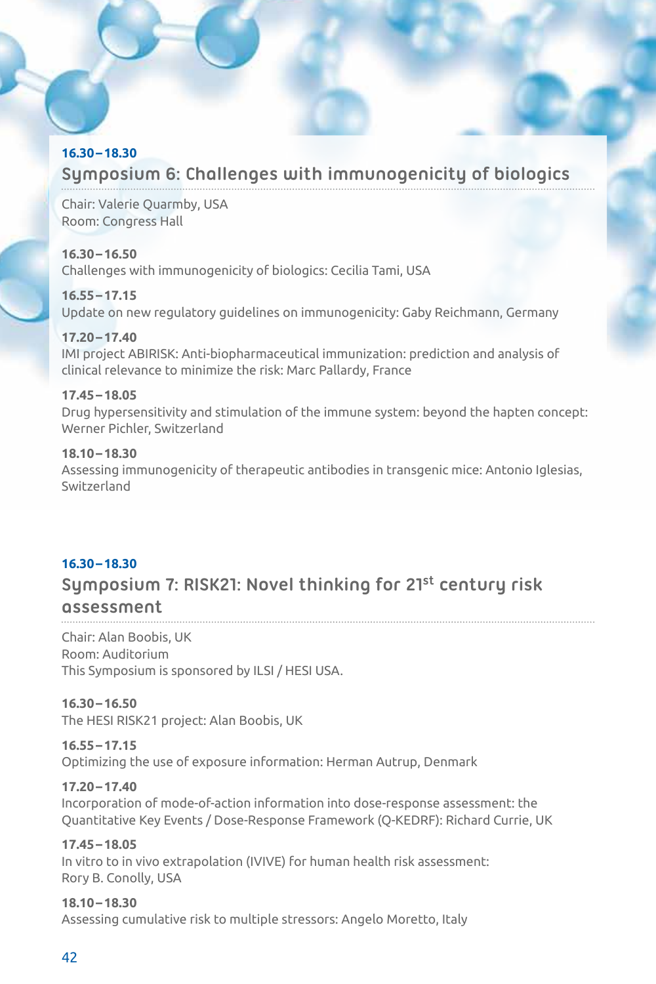# **16.30–18.30**

# **Symposium 6: Challenges with immunogenicity of biologics**

Chair: Valerie Quarmby, USA Room: Congress Hall

# **16.30–16.50**

Challenges with immunogenicity of biologics: Cecilia Tami, USA

# **16.55–17.15**

Update on new regulatory guidelines on immunogenicity: Gaby Reichmann, Germany

# **17.20–17.40**

IMI project ABIRISK: Anti-biopharmaceutical immunization: prediction and analysis of clinical relevance to minimize the risk: Marc Pallardy, France

# **17.45–18.05**

Drug hypersensitivity and stimulation of the immune system: beyond the hapten concept: Werner Pichler, Switzerland

# **18.10–18.30**

Assessing immunogenicity of therapeutic antibodies in transgenic mice: Antonio Iglesias, Switzerland

# **16.30–18.30 Symposium 7: RISK21: Novel thinking for 21st century risk assessment**

Chair: Alan Boobis, UK Room: Auditorium This Symposium is sponsored by ILSI / HESI USA.

**16.30–16.50**  The HESI RISK21 project: Alan Boobis, UK

**16.55–17.15** Optimizing the use of exposure information: Herman Autrup, Denmark

# **17.20–17.40** Incorporation of mode-of-action information into dose-response assessment: the Quantitative Key Events / Dose-Response Framework (Q-KEDRF): Richard Currie, UK

**17.45–18.05** In vitro to in vivo extrapolation (IVIVE) for human health risk assessment: Rory B. Conolly, USA

**18.10–18.30** Assessing cumulative risk to multiple stressors: Angelo Moretto, Italy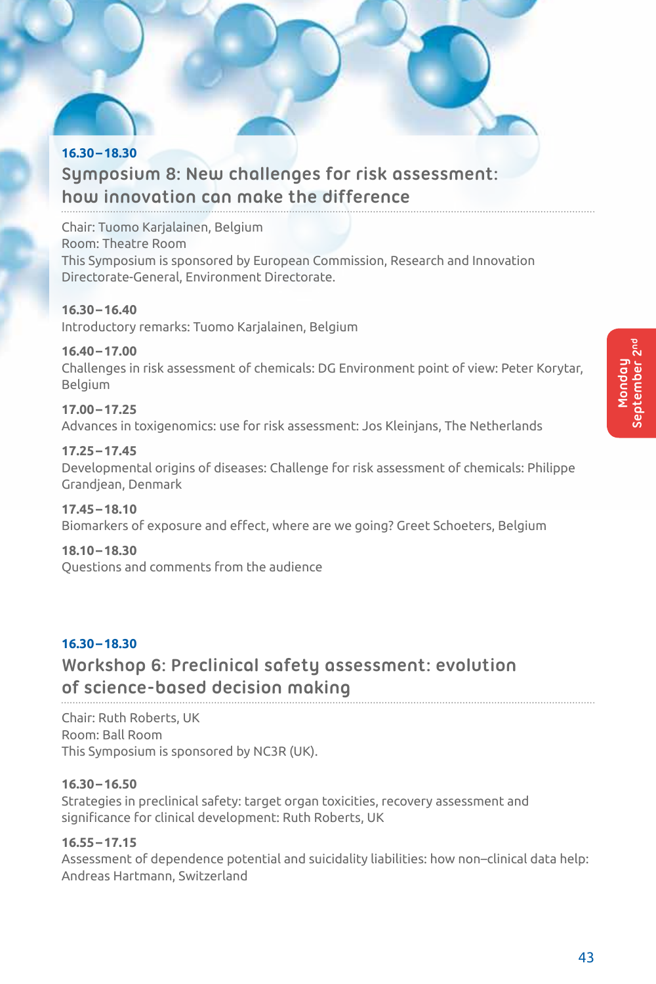# **16.30–18.30 Symposium 8: New challenges for risk assessment: how innovation can make the difference**

Chair: Tuomo Karjalainen, Belgium Room: Theatre Room This Symposium is sponsored by European Commission, Research and Innovation Directorate-General, Environment Directorate.

**16.30–16.40** Introductory remarks: Tuomo Karjalainen, Belgium

# **16.40–17.00**

Challenges in risk assessment of chemicals: DG Environment point of view: Peter Korytar, Belgium

**17.00–17.25** Advances in toxigenomics: use for risk assessment: Jos Kleinjans, The Netherlands

**17.25–17.45** Developmental origins of diseases: Challenge for risk assessment of chemicals: Philippe Grandjean, Denmark

**17.45–18.10** Biomarkers of exposure and effect, where are we going? Greet Schoeters, Belgium

**18.10–18.30** Questions and comments from the audience

# **16.30–18.30 Workshop 6: Preclinical safety assessment: evolution of science-based decision making**

Chair: Ruth Roberts, UK Room: Ball Room This Symposium is sponsored by NC3R (UK).

# **16.30–16.50**

Strategies in preclinical safety: target organ toxicities, recovery assessment and significance for clinical development: Ruth Roberts, UK

# **16.55–17.15**

Assessment of dependence potential and suicidality liabilities: how non–clinical data help: Andreas Hartmann, Switzerland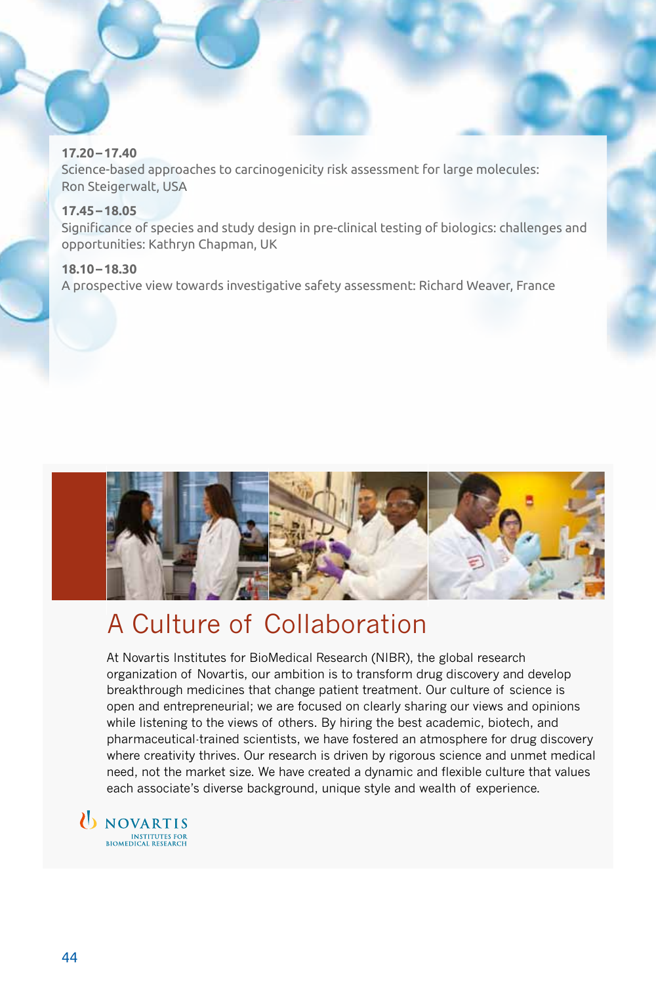#### **17.20–17.40**

Science-based approaches to carcinogenicity risk assessment for large molecules: Ron Steigerwalt, USA

#### **17.45–18.05**

Significance of species and study design in pre-clinical testing of biologics: challenges and opportunities: Kathryn Chapman, UK

#### **18.10–18.30**

A prospective view towards investigative safety assessment: Richard Weaver, France



# A Culture of Collaboration

At Novartis Institutes for BioMedical Research (NIBR), the global research organization of Novartis, our ambition is to transform drug discovery and develop breakthrough medicines that change patient treatment. Our culture of science is open and entrepreneurial; we are focused on clearly sharing our views and opinions while listening to the views of others. By hiring the best academic, biotech, and pharmaceutical-trained scientists, we have fostered an atmosphere for drug discovery where creativity thrives. Our research is driven by rigorous science and unmet medical need, not the market size. We have created a dynamic and flexible culture that values each associate's diverse background, unique style and wealth of experience.

U NOVARTIS INSTITUTES FOR<br>BIOMEDICAL RESEARCH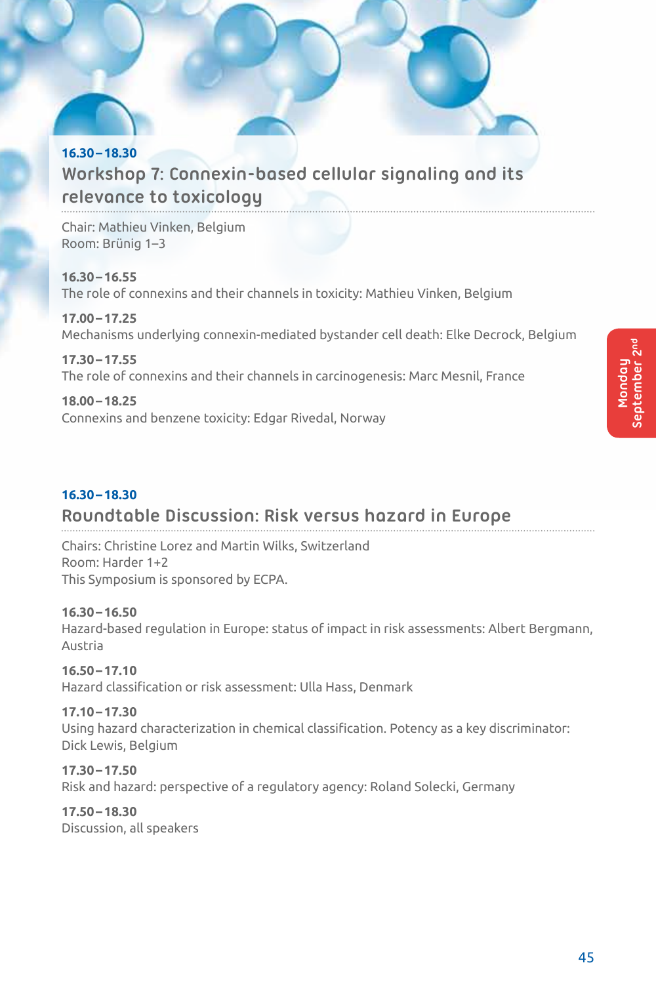# **16.30–18.30 Workshop 7: Connexin-based cellular signaling and its relevance to toxicology**

Chair: Mathieu Vinken, Belgium Room: Brünig 1–3

**16.30–16.55** The role of connexins and their channels in toxicity: Mathieu Vinken, Belgium

**17.00–17.25** Mechanisms underlying connexin-mediated bystander cell death: Elke Decrock, Belgium

**17.30–17.55** The role of connexins and their channels in carcinogenesis: Marc Mesnil, France

**18.00–18.25** Connexins and benzene toxicity: Edgar Rivedal, Norway

# **16.30–18.30**

# **Roundtable Discussion: Risk versus hazard in Europe**

Chairs: Christine Lorez and Martin Wilks, Switzerland Room: Harder 1+2 This Symposium is sponsored by ECPA.

# **16.30–16.50**

Hazard-based regulation in Europe: status of impact in risk assessments: Albert Bergmann, Austria

# **16.50–17.10**

Hazard classification or risk assessment: Ulla Hass, Denmark

# **17.10–17.30**

Using hazard characterization in chemical classification. Potency as a key discriminator: Dick Lewis, Belgium

# **17.30–17.50**

Risk and hazard: perspective of a regulatory agency: Roland Solecki, Germany

# **17.50–18.30**

Discussion, all speakers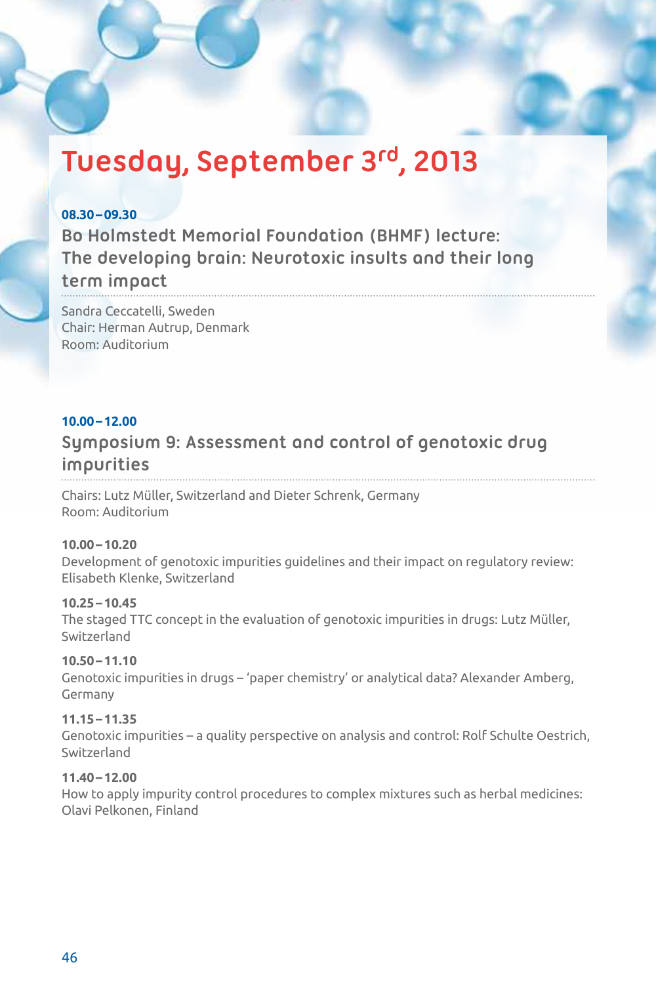# **Tuesday, September 3rd, 2013**

# **08.30–09.30**

**Bo Holmstedt Memorial Foundation (BHMF) lecture: The developing brain: Neurotoxic insults and their long** 

# **term impact**

Sandra Ceccatelli, Sweden Chair: Herman Autrup, Denmark Room: Auditorium

# **10.00–12.00**

# **Symposium 9: Assessment and control of genotoxic drug impurities**

Chairs: Lutz Müller, Switzerland and Dieter Schrenk, Germany Room: Auditorium

# **10.00–10.20**

Development of genotoxic impurities guidelines and their impact on regulatory review: Elisabeth Klenke, Switzerland

# **10.25–10.45**

The staged TTC concept in the evaluation of genotoxic impurities in drugs: Lutz Müller, Switzerland

# **10.50–11.10**

Genotoxic impurities in drugs – 'paper chemistry' or analytical data? Alexander Amberg, Germany

# **11.15–11.35**

Genotoxic impurities – a quality perspective on analysis and control: Rolf Schulte Oestrich, Switzerland

# **11.40–12.00**

How to apply impurity control procedures to complex mixtures such as herbal medicines: Olavi Pelkonen, Finland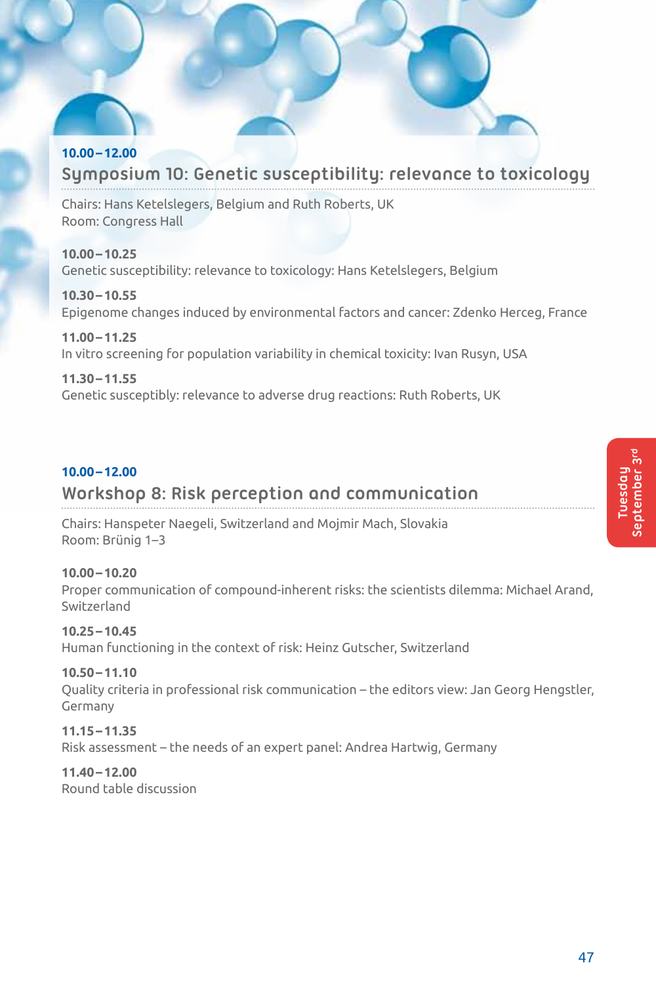# **10.00–12.00 Symposium 10: Genetic susceptibility: relevance to toxicology**

Chairs: Hans Ketelslegers, Belgium and Ruth Roberts, UK Room: Congress Hall

**10.00–10.25** Genetic susceptibility: relevance to toxicology: Hans Ketelslegers, Belgium

**10.30–10.55** Epigenome changes induced by environmental factors and cancer: Zdenko Herceg, France

**11.00–11.25** In vitro screening for population variability in chemical toxicity: Ivan Rusyn, USA

# **11.30–11.55**

Genetic susceptibly: relevance to adverse drug reactions: Ruth Roberts, UK

# **10.00–12.00**

# **Workshop 8: Risk perception and communication**

Chairs: Hanspeter Naegeli, Switzerland and Mojmir Mach, Slovakia Room: Brünig 1–3

# **10.00–10.20**

Proper communication of compound-inherent risks: the scientists dilemma: Michael Arand, Switzerland

**10.25–10.45**

Human functioning in the context of risk: Heinz Gutscher, Switzerland

# **10.50–11.10**

Quality criteria in professional risk communication – the editors view: Jan Georg Hengstler,

Germany **11.15–11.35**

Risk assessment – the needs of an expert panel: Andrea Hartwig, Germany

# **11.40–12.00**

Round table discussion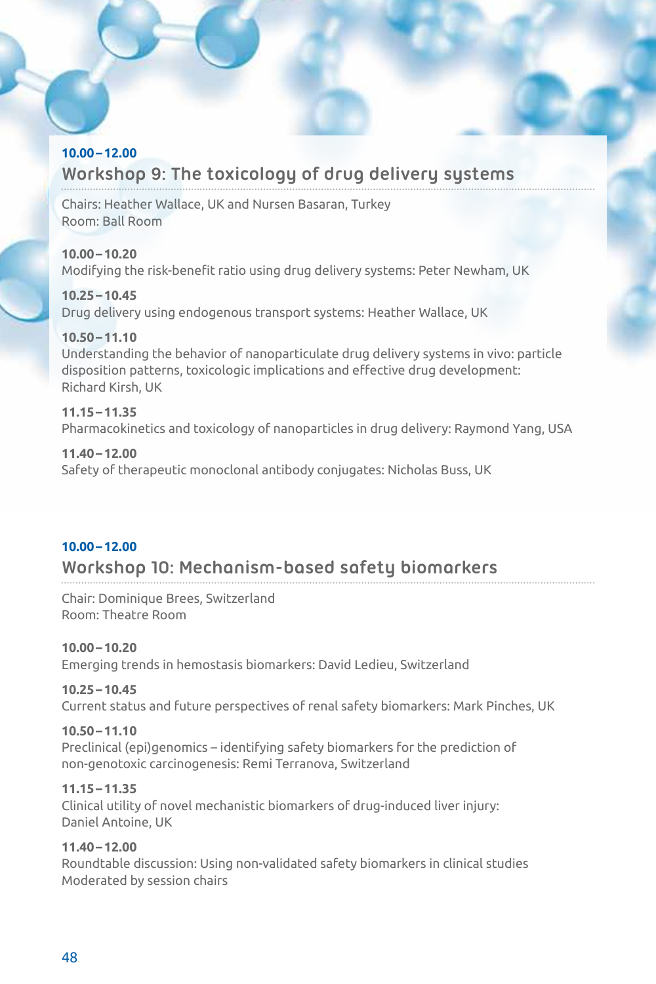#### **10.00–12.00**

# **Workshop 9: The toxicology of drug delivery systems**

Chairs: Heather Wallace, UK and Nursen Basaran, Turkey Room: Ball Room

**10.00–10.20** Modifying the risk-benefit ratio using drug delivery systems: Peter Newham, UK

**10.25–10.45** Drug delivery using endogenous transport systems: Heather Wallace, UK

# **10.50–11.10**

Understanding the behavior of nanoparticulate drug delivery systems in vivo: particle disposition patterns, toxicologic implications and effective drug development: Richard Kirsh, UK

# **11.15–11.35**

Pharmacokinetics and toxicology of nanoparticles in drug delivery: Raymond Yang, USA

#### **11.40–12.00**

Safety of therapeutic monoclonal antibody conjugates: Nicholas Buss, UK

# **10.00–12.00**

# **Workshop 10: Mechanism-based safety biomarkers**

Chair: Dominique Brees, Switzerland Room: Theatre Room

**10.00–10.20**

Emerging trends in hemostasis biomarkers: David Ledieu, Switzerland

# **10.25–10.45**

Current status and future perspectives of renal safety biomarkers: Mark Pinches, UK

# **10.50–11.10**

Preclinical (epi)genomics – identifying safety biomarkers for the prediction of non-genotoxic carcinogenesis: Remi Terranova, Switzerland

# **11.15–11.35**

Clinical utility of novel mechanistic biomarkers of drug-induced liver injury: Daniel Antoine, UK

#### **11.40–12.00**

Roundtable discussion: Using non-validated safety biomarkers in clinical studies Moderated by session chairs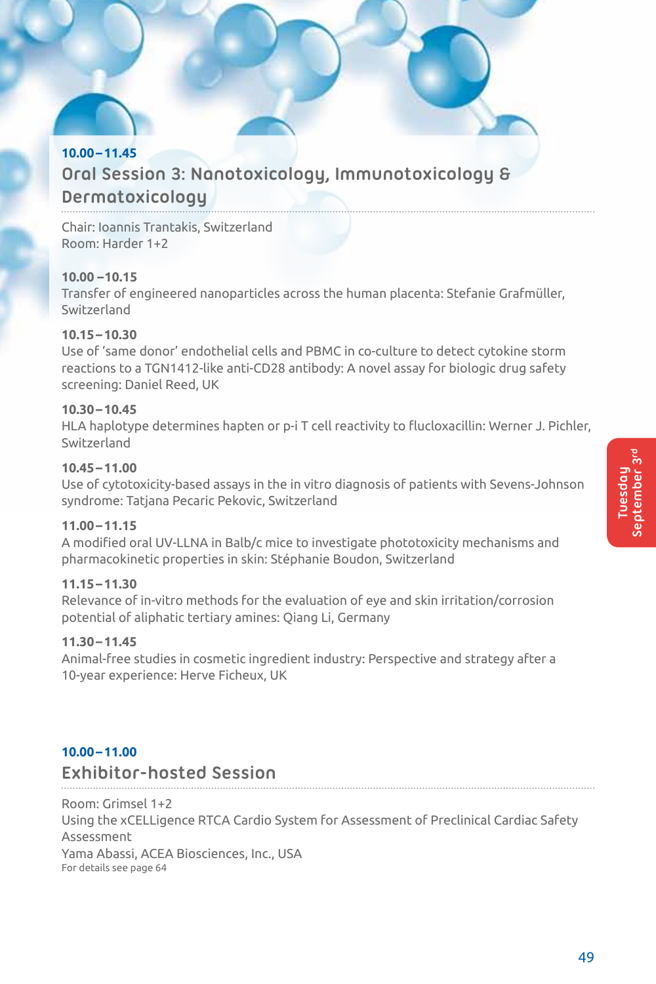# **10.00–11.45 Oral Session 3: Nanotoxicology, Immunotoxicology & Dermatoxicology**

Chair: Ioannis Trantakis, Switzerland Room: Harder 1+2

# **10.00 –10.15**

Transfer of engineered nanoparticles across the human placenta: Stefanie Grafmüller, Switzerland

# **10.15–10.30**

Use of 'same donor' endothelial cells and PBMC in co-culture to detect cytokine storm reactions to a TGN1412-like anti-CD28 antibody: A novel assay for biologic drug safety screening: Daniel Reed, UK

#### **10.30–10.45**

HLA haplotype determines hapten or p-i T cell reactivity to flucloxacillin: Werner J. Pichler, Switzerland

#### **10.45–11.00**

Use of cytotoxicity-based assays in the in vitro diagnosis of patients with Sevens-Johnson syndrome: Tatjana Pecaric Pekovic, Switzerland

#### **11.00–11.15**

A modified oral UV-LLNA in Balb/c mice to investigate phototoxicity mechanisms and pharmacokinetic properties in skin: Stéphanie Boudon, Switzerland

#### **11.15–11.30**

Relevance of in-vitro methods for the evaluation of eye and skin irritation/corrosion potential of aliphatic tertiary amines: Qiang Li, Germany

#### **11.30–11.45**

Animal-free studies in cosmetic ingredient industry: Perspective and strategy after a 10-year experience: Herve Ficheux, UK

# **10.00–11.00**

# **Exhibitor-hosted Session**

Room: Grimsel 1+2 Using the xCELLigence RTCA Cardio System for Assessment of Preclinical Cardiac Safety Assessment

Yama Abassi, ACEA Biosciences, Inc., USA For details see page 64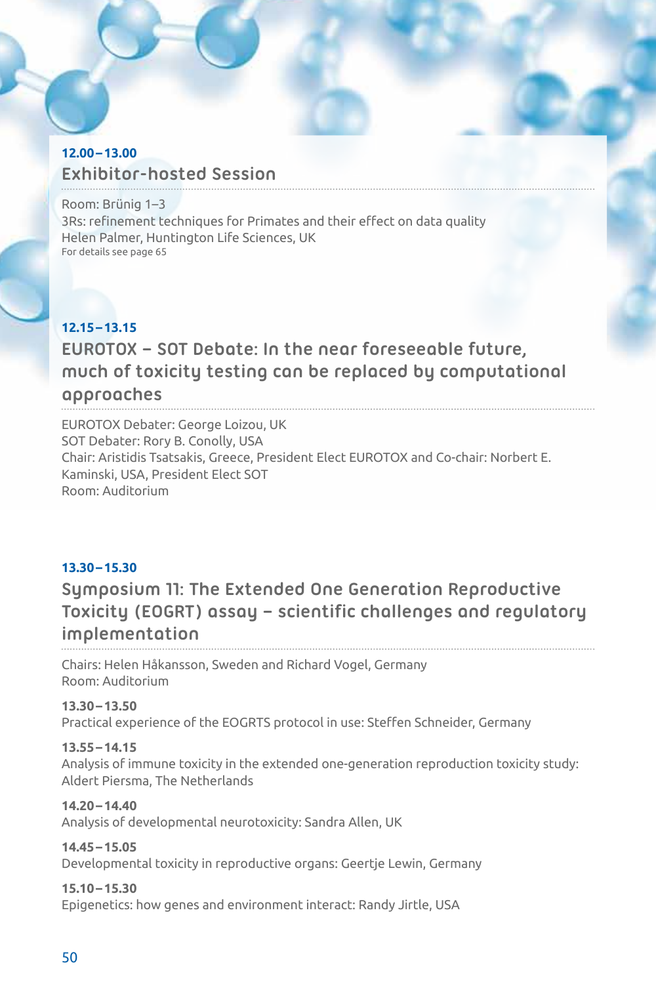# **12.00–13.00 Exhibitor-hosted Session**

Room: Brünig 1–3 3Rs: refinement techniques for Primates and their effect on data quality Helen Palmer, Huntington Life Sciences, UK For details see page 65

# **12.15–13.15 EUROTOX – SOT Debate: In the near foreseeable future, much of toxicity testing can be replaced by computational approaches**

EUROTOX Debater: George Loizou, UK SOT Debater: Rory B. Conolly, USA Chair: Aristidis Tsatsakis, Greece, President Elect EUROTOX and Co-chair: Norbert E. Kaminski, USA, President Elect SOT Room: Auditorium

# **13.30–15.30**

**Symposium 11: The Extended One Generation Reproductive Toxicity (EOGRT) assay – scientific challenges and regulatory implementation**

Chairs: Helen Håkansson, Sweden and Richard Vogel, Germany Room: Auditorium

**13.30–13.50** Practical experience of the EOGRTS protocol in use: Steffen Schneider, Germany

# **13.55–14.15**

Analysis of immune toxicity in the extended one-generation reproduction toxicity study: Aldert Piersma, The Netherlands

**14.20–14.40**

Analysis of developmental neurotoxicity: Sandra Allen, UK

**14.45–15.05**

Developmental toxicity in reproductive organs: Geertje Lewin, Germany

# **15.10–15.30**

Epigenetics: how genes and environment interact: Randy Jirtle, USA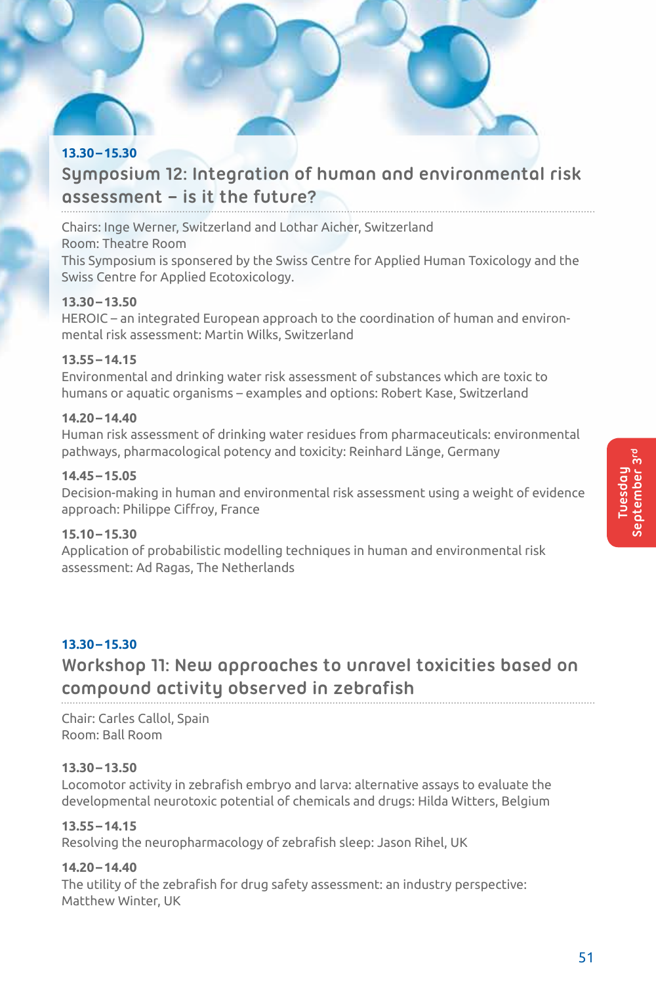# **13.30–15.30**

# **Symposium 12: Integration of human and environmental risk assessment – is it the future?**

Chairs: Inge Werner, Switzerland and Lothar Aicher, Switzerland

# Room: Theatre Room

This Symposium is sponsered by the Swiss Centre for Applied Human Toxicology and the Swiss Centre for Applied Ecotoxicology.

# **13.30–13.50**

HEROIC – an integrated European approach to the coordination of human and environmental risk assessment: Martin Wilks, Switzerland

# **13.55–14.15**

Environmental and drinking water risk assessment of substances which are toxic to humans or aquatic organisms – examples and options: Robert Kase, Switzerland

# **14.20–14.40**

Human risk assessment of drinking water residues from pharmaceuticals: environmental pathways, pharmacological potency and toxicity: Reinhard Länge, Germany

# **14.45–15.05**

Decision-making in human and environmental risk assessment using a weight of evidence approach: Philippe Ciffroy, France

# **15.10–15.30**

Application of probabilistic modelling techniques in human and environmental risk assessment: Ad Ragas, The Netherlands

# **13.30–15.30**

# **Workshop 11: New approaches to unravel toxicities based on compound activity observed in zebrafish**

Chair: Carles Callol, Spain Room: Ball Room

# **13.30–13.50**

Locomotor activity in zebrafish embryo and larva: alternative assays to evaluate the developmental neurotoxic potential of chemicals and drugs: Hilda Witters, Belgium

# **13.55–14.15**

Resolving the neuropharmacology of zebrafish sleep: Jason Rihel, UK

# **14.20–14.40**

The utility of the zebrafish for drug safety assessment: an industry perspective: Matthew Winter, UK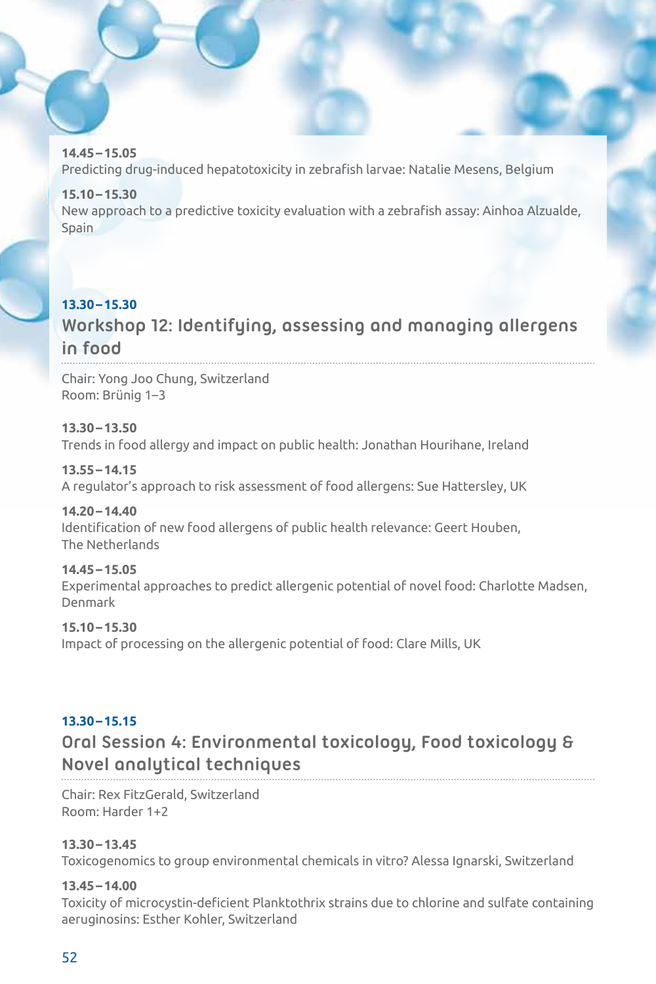**14.45–15.05** Predicting drug-induced hepatotoxicity in zebrafish larvae: Natalie Mesens, Belgium

**15.10–15.30** New approach to a predictive toxicity evaluation with a zebrafish assay: Ainhoa Alzualde, Spain

# **13.30–15.30**

# **Workshop 12: Identifying, assessing and managing allergens in food**

Chair: Yong Joo Chung, Switzerland Room: Brünig 1–3

**13.30–13.50**

Trends in food allergy and impact on public health: Jonathan Hourihane, Ireland

**13.55–14.15**

A regulator's approach to risk assessment of food allergens: Sue Hattersley, UK

# **14.20–14.40**

Identification of new food allergens of public health relevance: Geert Houben, The Netherlands

**14.45–15.05**

Experimental approaches to predict allergenic potential of novel food: Charlotte Madsen, Denmark

# **15.10–15.30**

Impact of processing on the allergenic potential of food: Clare Mills, UK

# **13.30–15.15**

# **Oral Session 4: Environmental toxicology, Food toxicology & Novel analytical techniques**

Chair: Rex FitzGerald, Switzerland Room: Harder 1+2

# **13.30–13.45**

Toxicogenomics to group environmental chemicals in vitro? Alessa Ignarski, Switzerland

# **13.45–14.00**

Toxicity of microcystin-deficient Planktothrix strains due to chlorine and sulfate containing aeruginosins: Esther Kohler, Switzerland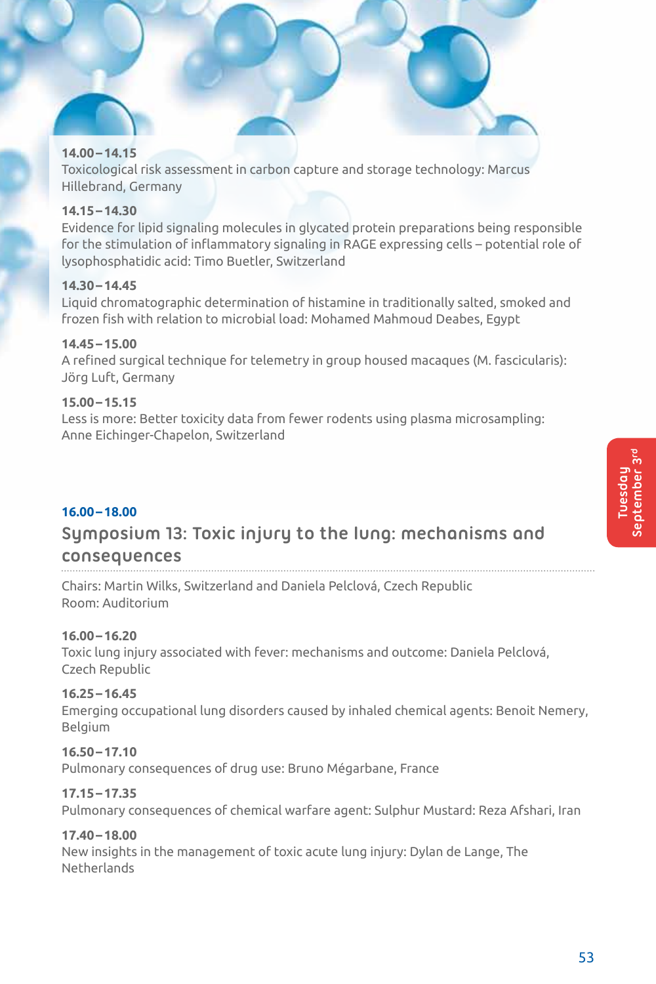#### **14.00–14.15**

Toxicological risk assessment in carbon capture and storage technology: Marcus Hillebrand, Germany

### **14.15–14.30**

Evidence for lipid signaling molecules in glycated protein preparations being responsible for the stimulation of inflammatory signaling in RAGE expressing cells – potential role of lysophosphatidic acid: Timo Buetler, Switzerland

# **14.30–14.45**

Liquid chromatographic determination of histamine in traditionally salted, smoked and frozen fish with relation to microbial load: Mohamed Mahmoud Deabes, Egypt

#### **14.45–15.00**

A refined surgical technique for telemetry in group housed macaques (M. fascicularis): Jörg Luft, Germany

# **15.00–15.15**

Less is more: Better toxicity data from fewer rodents using plasma microsampling: Anne Eichinger-Chapelon, Switzerland

### **16.00–18.00**

# **Symposium 13: Toxic injury to the lung: mechanisms and consequences**

Chairs: Martin Wilks, Switzerland and Daniela Pelclová, Czech Republic Room: Auditorium

#### **16.00–16.20**

Toxic lung injury associated with fever: mechanisms and outcome: Daniela Pelclová, Czech Republic

# **16.25–16.45**

Emerging occupational lung disorders caused by inhaled chemical agents: Benoit Nemery, Belgium

#### **16.50–17.10**

Pulmonary consequences of drug use: Bruno Mégarbane, France

# **17.15–17.35**

Pulmonary consequences of chemical warfare agent: Sulphur Mustard: Reza Afshari, Iran

#### **17.40–18.00**

New insights in the management of toxic acute lung injury: Dylan de Lange, The Netherlands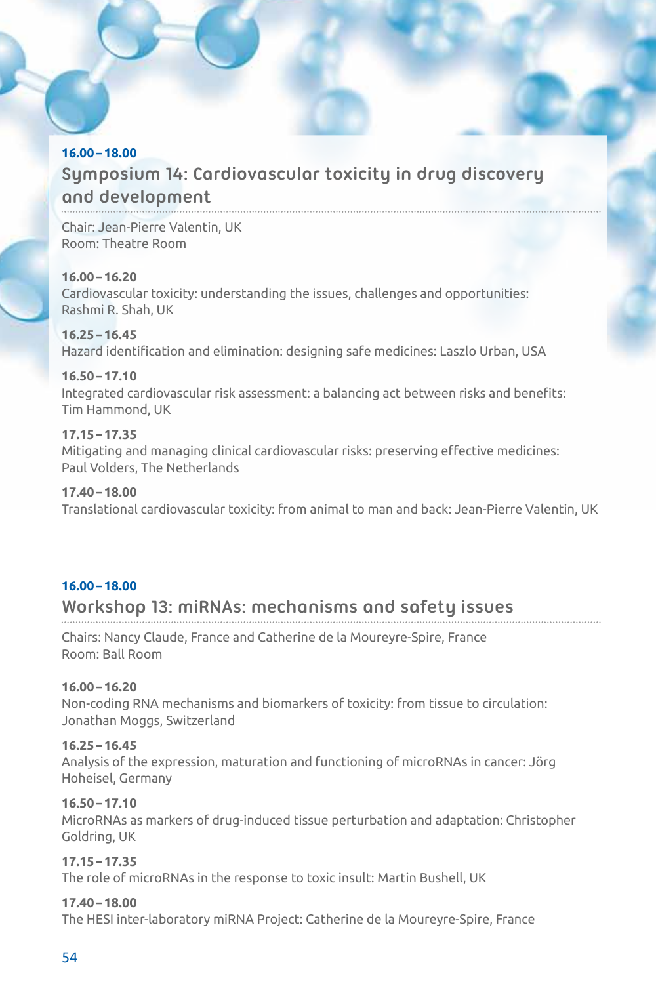# **16.00–18.00 Symposium 14: Cardiovascular toxicity in drug discovery and development**

Chair: Jean-Pierre Valentin, UK Room: Theatre Room

# **16.00–16.20**

Cardiovascular toxicity: understanding the issues, challenges and opportunities: Rashmi R. Shah, UK

#### **16.25–16.45**

Hazard identification and elimination: designing safe medicines: Laszlo Urban, USA

# **16.50–17.10**

Integrated cardiovascular risk assessment: a balancing act between risks and benefits: Tim Hammond, UK

# **17.15–17.35**

Mitigating and managing clinical cardiovascular risks: preserving effective medicines: Paul Volders, The Netherlands

### **17.40–18.00**

Translational cardiovascular toxicity: from animal to man and back: Jean-Pierre Valentin, UK

# **16.00–18.00**

# **Workshop 13: miRNAs: mechanisms and safety issues**

Chairs: Nancy Claude, France and Catherine de la Moureyre-Spire, France Room: Ball Room

# **16.00–16.20**

Non-coding RNA mechanisms and biomarkers of toxicity: from tissue to circulation: Jonathan Moggs, Switzerland

# **16.25–16.45**

Analysis of the expression, maturation and functioning of microRNAs in cancer: Jörg Hoheisel, Germany

# **16.50–17.10**

MicroRNAs as markers of drug-induced tissue perturbation and adaptation: Christopher Goldring, UK

# **17.15–17.35**

The role of microRNAs in the response to toxic insult: Martin Bushell, UK

# **17.40–18.00**

The HESI inter-laboratory miRNA Project: Catherine de la Moureyre-Spire, France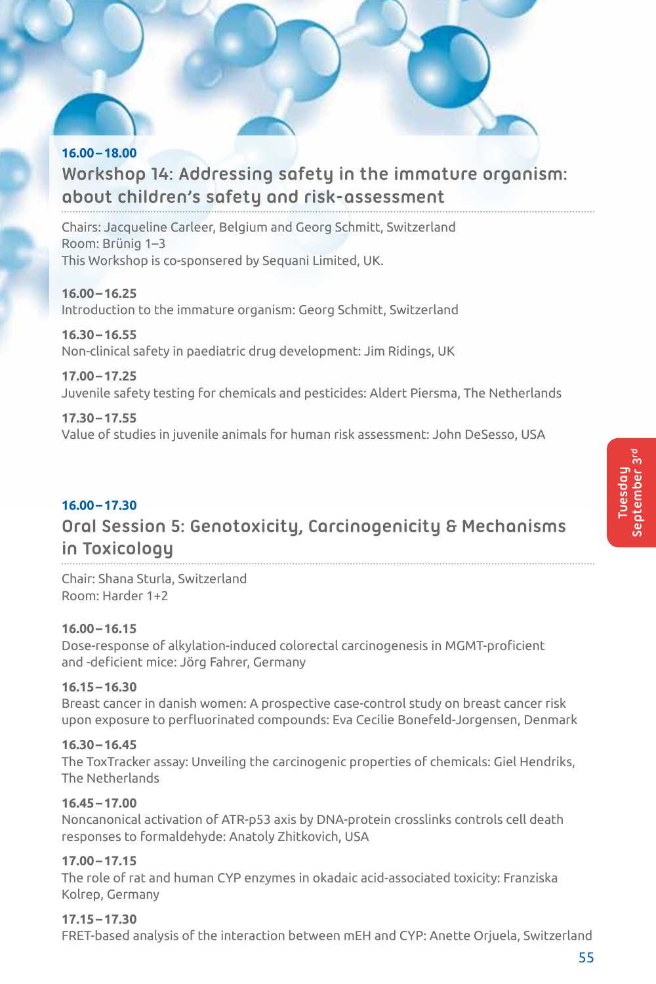# **16.00–18.00 Workshop 14: Addressing safety in the immature organism: about children's safety and risk-assessment**

Chairs: Jacqueline Carleer, Belgium and Georg Schmitt, Switzerland Room: Brünig 1–3 This Workshop is co-sponsered by Sequani Limited, UK.

**16.00–16.25** Introduction to the immature organism: Georg Schmitt, Switzerland

# **16.30–16.55**

Non-clinical safety in paediatric drug development: Jim Ridings, UK

# **17.00–17.25**

Juvenile safety testing for chemicals and pesticides: Aldert Piersma, The Netherlands

# **17.30–17.55**

Value of studies in juvenile animals for human risk assessment: John DeSesso, USA

# **16.00–17.30**

# **Oral Session 5: Genotoxicity, Carcinogenicity & Mechanisms in Toxicology**

Chair: Shana Sturla, Switzerland Room: Harder 1+2

# **16.00–16.15**

Dose-response of alkylation-induced colorectal carcinogenesis in MGMT-proficient and -deficient mice: Jörg Fahrer, Germany

# **16.15–16.30**

Breast cancer in danish women: A prospective case-control study on breast cancer risk upon exposure to perfluorinated compounds: Eva Cecilie Bonefeld-Jorgensen, Denmark

# **16.30–16.45**

The ToxTracker assay: Unveiling the carcinogenic properties of chemicals: Giel Hendriks, The Netherlands

# **16.45–17.00**

Noncanonical activation of ATR-p53 axis by DNA-protein crosslinks controls cell death responses to formaldehyde: Anatoly Zhitkovich, USA

# **17.00–17.15**

The role of rat and human CYP enzymes in okadaic acid-associated toxicity: Franziska Kolrep, Germany

# **17.15–17.30**

FRET-based analysis of the interaction between mEH and CYP: Anette Orjuela, Switzerland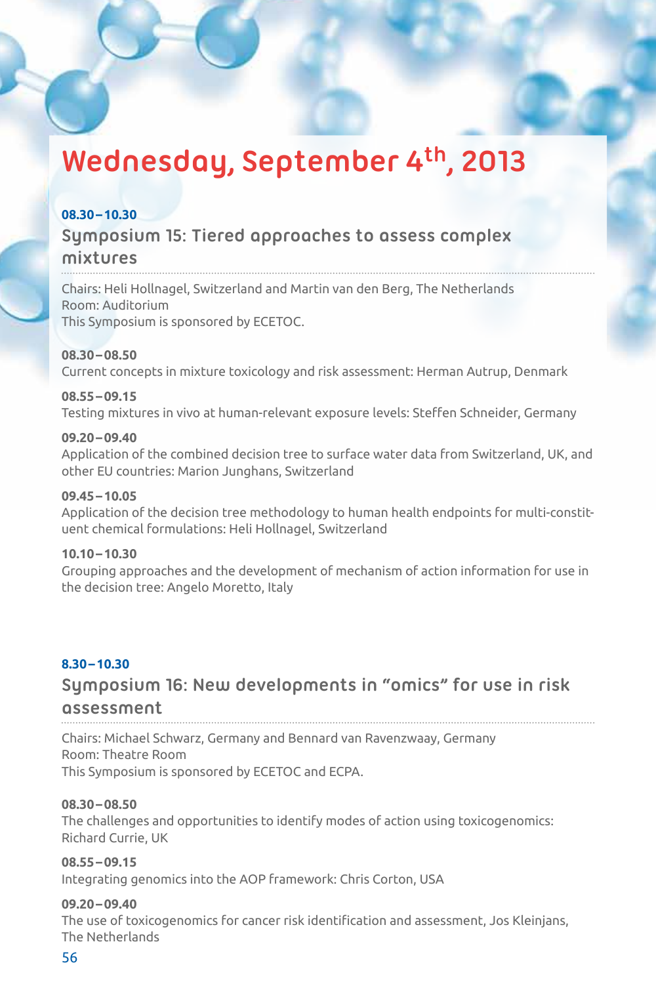# **Wednesday, September 4th, 2013**

# **08.30–10.30**

# **Symposium 15: Tiered approaches to assess complex mixtures**

Chairs: Heli Hollnagel, Switzerland and Martin van den Berg, The Netherlands Room: Auditorium This Symposium is sponsored by ECETOC.

# **08.30–08.50**

Current concepts in mixture toxicology and risk assessment: Herman Autrup, Denmark

#### **08.55–09.15**

Testing mixtures in vivo at human-relevant exposure levels: Steffen Schneider, Germany

#### **09.20–09.40**

Application of the combined decision tree to surface water data from Switzerland, UK, and other EU countries: Marion Junghans, Switzerland

#### **09.45–10.05**

Application of the decision tree methodology to human health endpoints for multi-constituent chemical formulations: Heli Hollnagel, Switzerland

#### **10.10–10.30**

Grouping approaches and the development of mechanism of action information for use in the decision tree: Angelo Moretto, Italy

# **8.30–10.30**

# **Symposium 16: New developments in "omics" for use in risk assessment**

Chairs: Michael Schwarz, Germany and Bennard van Ravenzwaay, Germany Room: Theatre Room This Symposium is sponsored by ECETOC and ECPA.

#### **08.30–08.50**

The challenges and opportunities to identify modes of action using toxicogenomics: Richard Currie, UK

# **08.55–09.15**

Integrating genomics into the AOP framework: Chris Corton, USA

#### **09.20–09.40**

The use of toxicogenomics for cancer risk identification and assessment, Jos Kleinjans, The Netherlands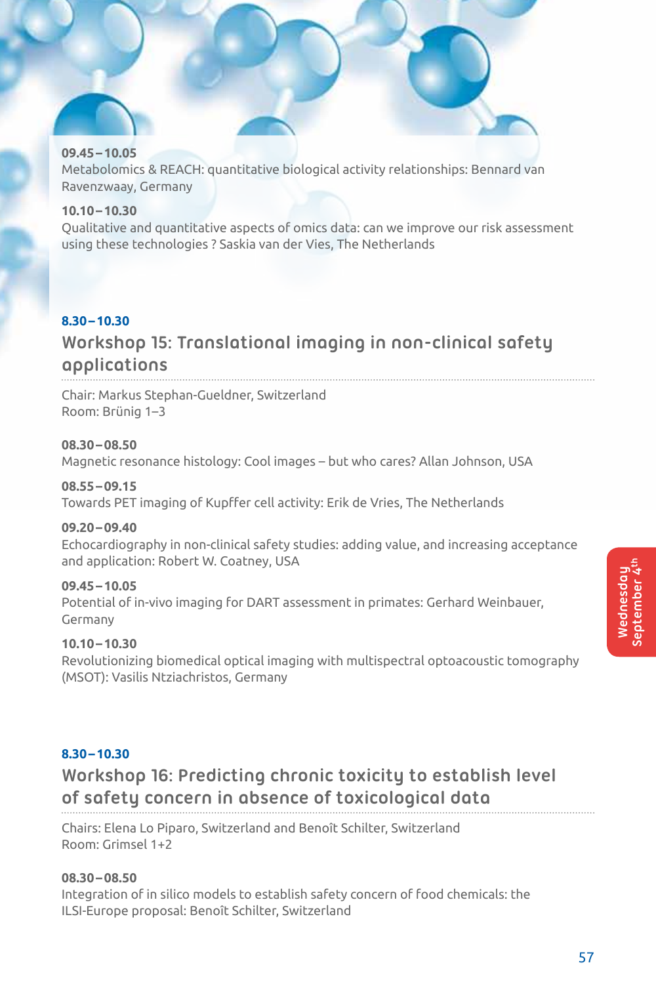# **09.45–10.05**

Metabolomics & REACH: quantitative biological activity relationships: Bennard van Ravenzwaay, Germany

# **10.10–10.30**

Qualitative and quantitative aspects of omics data: can we improve our risk assessment using these technologies ? Saskia van der Vies, The Netherlands

# **8.30–10.30 Workshop 15: Translational imaging in non-clinical safety applications**

Chair: Markus Stephan-Gueldner, Switzerland Room: Brünig 1–3

#### **08.30–08.50**

Magnetic resonance histology: Cool images – but who cares? Allan Johnson, USA

#### **08.55–09.15**

Towards PET imaging of Kupffer cell activity: Erik de Vries, The Netherlands

#### **09.20–09.40**

Echocardiography in non-clinical safety studies: adding value, and increasing acceptance and application: Robert W. Coatney, USA

# **09.45–10.05**

Potential of in-vivo imaging for DART assessment in primates: Gerhard Weinbauer, Germany

# **10.10–10.30**

Revolutionizing biomedical optical imaging with multispectral optoacoustic tomography (MSOT): Vasilis Ntziachristos, Germany

# **8.30–10.30**

# **Workshop 16: Predicting chronic toxicity to establish level of safety concern in absence of toxicological data**

Chairs: Elena Lo Piparo, Switzerland and Benoît Schilter, Switzerland Room: Grimsel 1+2

#### **08.30–08.50**

Integration of in silico models to establish safety concern of food chemicals: the ILSI-Europe proposal: Benoît Schilter, Switzerland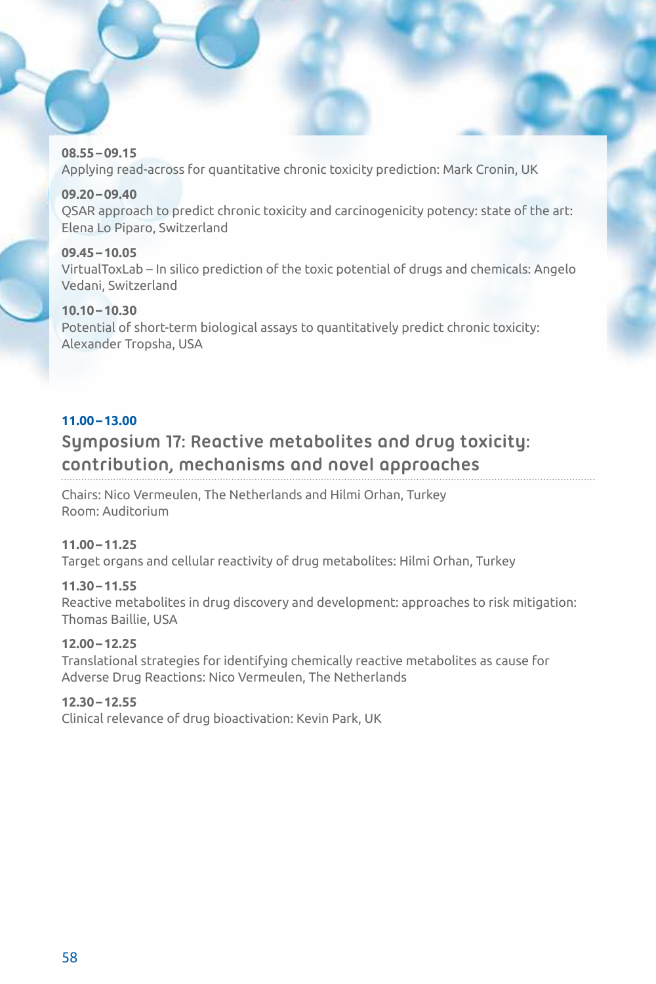**08.55–09.15** Applying read-across for quantitative chronic toxicity prediction: Mark Cronin, UK

**09.20–09.40**

QSAR approach to predict chronic toxicity and carcinogenicity potency: state of the art: Elena Lo Piparo, Switzerland

**09.45–10.05** VirtualToxLab – In silico prediction of the toxic potential of drugs and chemicals: Angelo Vedani, Switzerland

**10.10–10.30** Potential of short-term biological assays to quantitatively predict chronic toxicity: Alexander Tropsha, USA

# **11.00–13.00**

# **Symposium 17: Reactive metabolites and drug toxicity: contribution, mechanisms and novel approaches**

Chairs: Nico Vermeulen, The Netherlands and Hilmi Orhan, Turkey Room: Auditorium

# **11.00–11.25**

Target organs and cellular reactivity of drug metabolites: Hilmi Orhan, Turkey

# **11.30–11.55**

Reactive metabolites in drug discovery and development: approaches to risk mitigation: Thomas Baillie, USA

# **12.00–12.25**

Translational strategies for identifying chemically reactive metabolites as cause for Adverse Drug Reactions: Nico Vermeulen, The Netherlands

# **12.30–12.55**

Clinical relevance of drug bioactivation: Kevin Park, UK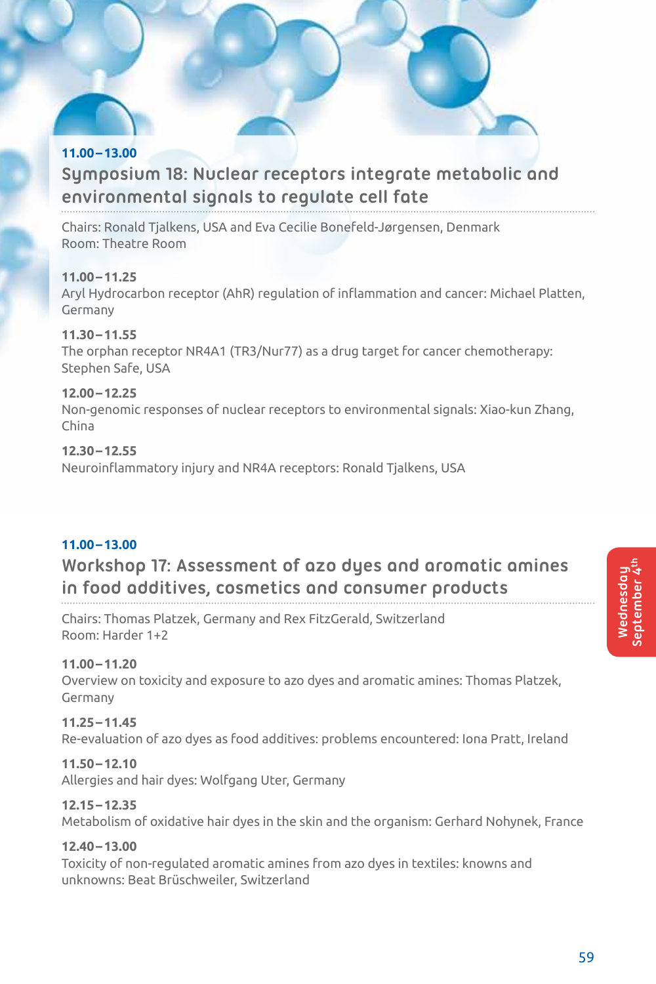# **11.00–13.00 Symposium 18: Nuclear receptors integrate metabolic and environmental signals to regulate cell fate**

Chairs: Ronald Tjalkens, USA and Eva Cecilie Bonefeld-Jørgensen, Denmark Room: Theatre Room

# **11.00–11.25**

Aryl Hydrocarbon receptor (AhR) regulation of inflammation and cancer: Michael Platten, Germany

# **11.30–11.55**

The orphan receptor NR4A1 (TR3/Nur77) as a drug target for cancer chemotherapy: Stephen Safe, USA

# **12.00–12.25**

Non-genomic responses of nuclear receptors to environmental signals: Xiao-kun Zhang, China

# **12.30–12.55**

Neuroinflammatory injury and NR4A receptors: Ronald Tjalkens, USA

# **11.00–13.00**

# **Workshop 17: Assessment of azo dyes and aromatic amines in food additives, cosmetics and consumer products**

Chairs: Thomas Platzek, Germany and Rex FitzGerald, Switzerland Room: Harder 1+2

# **11.00–11.20**

Overview on toxicity and exposure to azo dyes and aromatic amines: Thomas Platzek, Germany

# **11.25–11.45**

Re-evaluation of azo dyes as food additives: problems encountered: Iona Pratt, Ireland

# **11.50–12.10**

Allergies and hair dyes: Wolfgang Uter, Germany

# **12.15–12.35**

Metabolism of oxidative hair dyes in the skin and the organism: Gerhard Nohynek, France

# **12.40–13.00**

Toxicity of non-regulated aromatic amines from azo dyes in textiles: knowns and unknowns: Beat Brüschweiler, Switzerland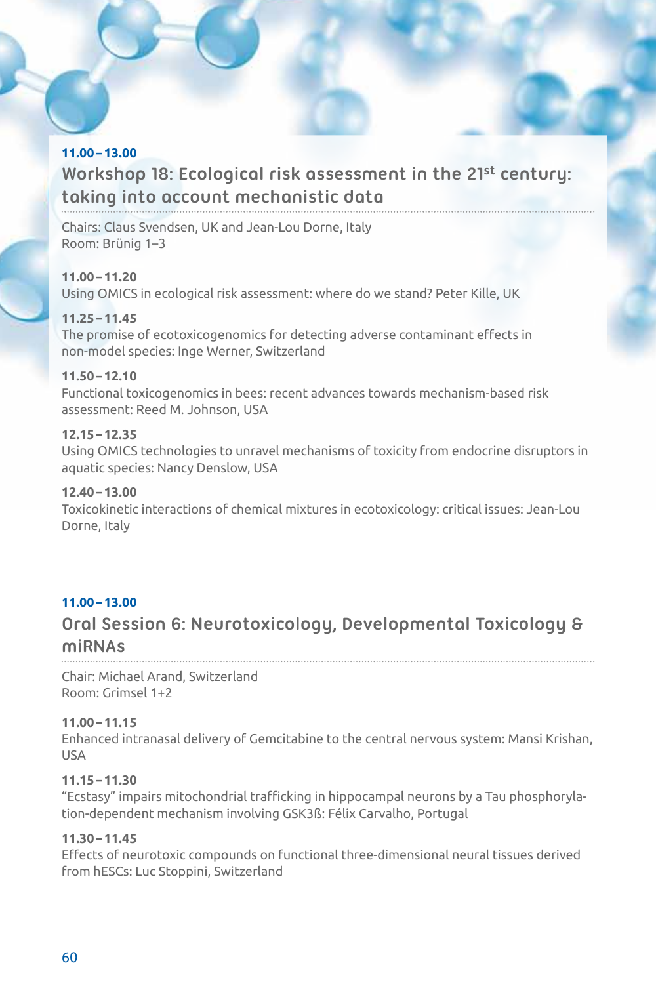# **11.00–13.00**

# **Workshop 18: Ecological risk assessment in the 21st century: taking into account mechanistic data**

Chairs: Claus Svendsen, UK and Jean-Lou Dorne, Italy Room: Brünig 1–3

#### **11.00–11.20**

Using OMICS in ecological risk assessment: where do we stand? Peter Kille, UK

# **11.25–11.45**

The promise of ecotoxicogenomics for detecting adverse contaminant effects in non-model species: Inge Werner, Switzerland

# **11.50–12.10**

Functional toxicogenomics in bees: recent advances towards mechanism-based risk assessment: Reed M. Johnson, USA

# **12.15–12.35**

Using OMICS technologies to unravel mechanisms of toxicity from endocrine disruptors in aquatic species: Nancy Denslow, USA

# **12.40–13.00**

Toxicokinetic interactions of chemical mixtures in ecotoxicology: critical issues: Jean-Lou Dorne, Italy

# **11.00–13.00**

# **Oral Session 6: Neurotoxicology, Developmental Toxicology & miRNAs**

Chair: Michael Arand, Switzerland Room: Grimsel 1+2

# **11.00–11.15**

Enhanced intranasal delivery of Gemcitabine to the central nervous system: Mansi Krishan, USA

# **11.15–11.30**

"Ecstasy" impairs mitochondrial trafficking in hippocampal neurons by a Tau phosphorylation-dependent mechanism involving GSK3ß: Félix Carvalho, Portugal

# **11.30–11.45**

Effects of neurotoxic compounds on functional three-dimensional neural tissues derived from hESCs: Luc Stoppini, Switzerland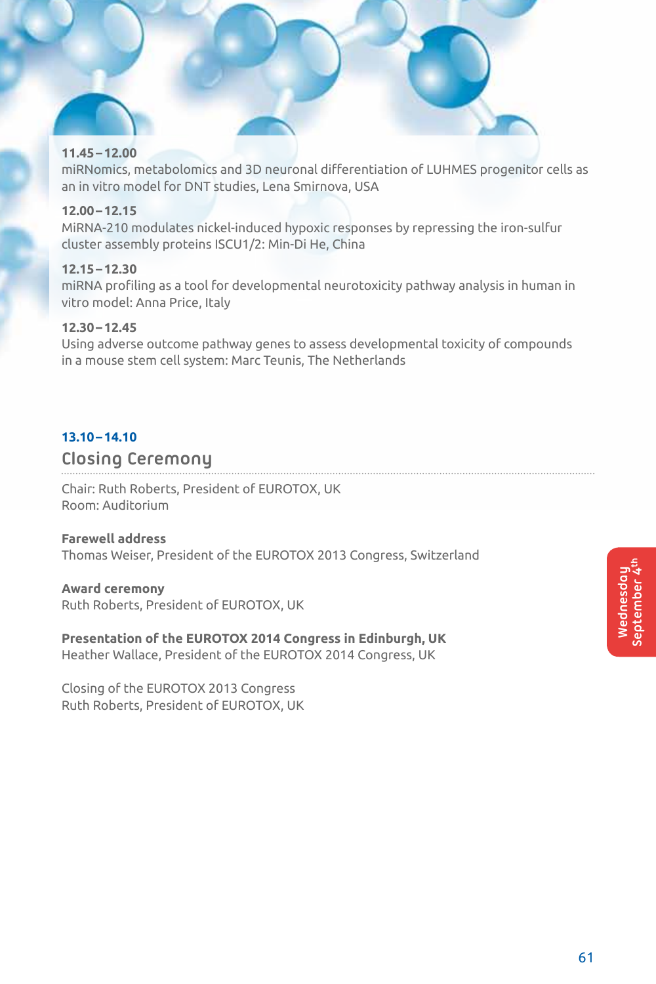#### **11.45–12.00**

miRNomics, metabolomics and 3D neuronal differentiation of LUHMES progenitor cells as an in vitro model for DNT studies, Lena Smirnova, USA

### **12.00–12.15**

MiRNA-210 modulates nickel-induced hypoxic responses by repressing the iron-sulfur cluster assembly proteins ISCU1/2: Min-Di He, China

#### **12.15–12.30**

miRNA profiling as a tool for developmental neurotoxicity pathway analysis in human in vitro model: Anna Price, Italy

# **12.30–12.45**

Using adverse outcome pathway genes to assess developmental toxicity of compounds in a mouse stem cell system: Marc Teunis, The Netherlands

#### **13.10–14.10**

# **Closing Ceremony**

Chair: Ruth Roberts, President of EUROTOX, UK Room: Auditorium

#### **Farewell address**

Thomas Weiser, President of the EUROTOX 2013 Congress, Switzerland

#### **Award ceremony**

Ruth Roberts, President of EUROTOX, UK

**Presentation of the EUROTOX 2014 Congress in Edinburgh, UK** Heather Wallace, President of the EUROTOX 2014 Congress, UK

Closing of the EUROTOX 2013 Congress Ruth Roberts, President of EUROTOX, UK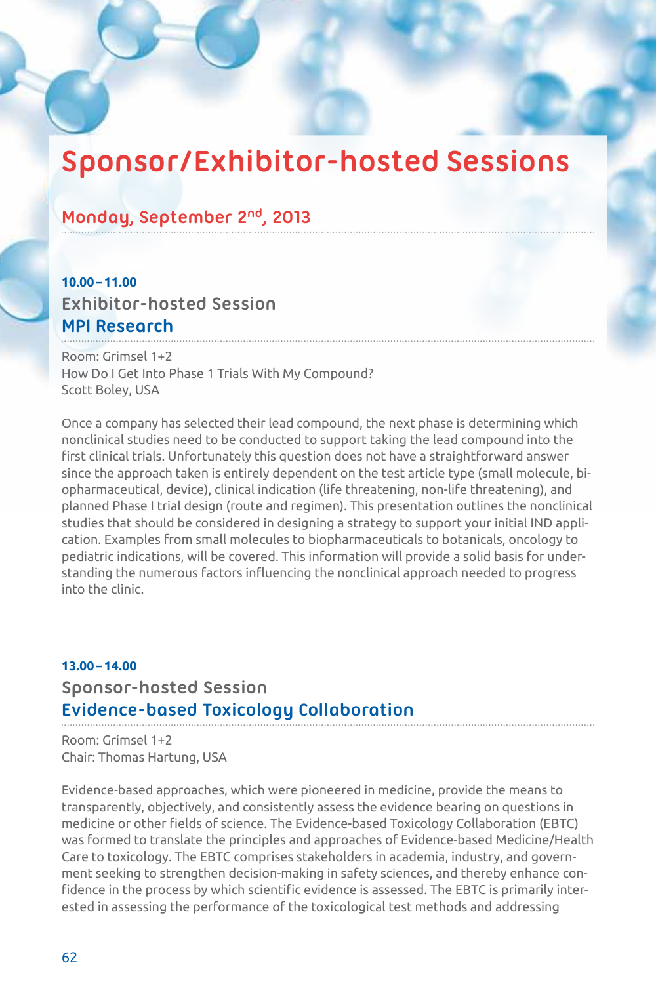# **Sponsor/Exhibitor-hosted Sessions**

# **Monday, September 2nd, 2013**

# **10.00–11.00 Exhibitor-hosted Session MPI Research**

Room: Grimsel 1+2 How Do I Get Into Phase 1 Trials With My Compound? Scott Boley, USA

Once a company has selected their lead compound, the next phase is determining which nonclinical studies need to be conducted to support taking the lead compound into the first clinical trials. Unfortunately this question does not have a straightforward answer since the approach taken is entirely dependent on the test article type (small molecule, biopharmaceutical, device), clinical indication (life threatening, non-life threatening), and planned Phase I trial design (route and regimen). This presentation outlines the nonclinical studies that should be considered in designing a strategy to support your initial IND application. Examples from small molecules to biopharmaceuticals to botanicals, oncology to pediatric indications, will be covered. This information will provide a solid basis for understanding the numerous factors influencing the nonclinical approach needed to progress into the clinic.

# **13.00–14.00 Sponsor-hosted Session Evidence-based Toxicology Collaboration**

Room: Grimsel 1+2 Chair: Thomas Hartung, USA

Evidence-based approaches, which were pioneered in medicine, provide the means to transparently, objectively, and consistently assess the evidence bearing on questions in medicine or other fields of science. The Evidence-based Toxicology Collaboration (EBTC) was formed to translate the principles and approaches of Evidence-based Medicine/Health Care to toxicology. The EBTC comprises stakeholders in academia, industry, and government seeking to strengthen decision-making in safety sciences, and thereby enhance confidence in the process by which scientific evidence is assessed. The EBTC is primarily interested in assessing the performance of the toxicological test methods and addressing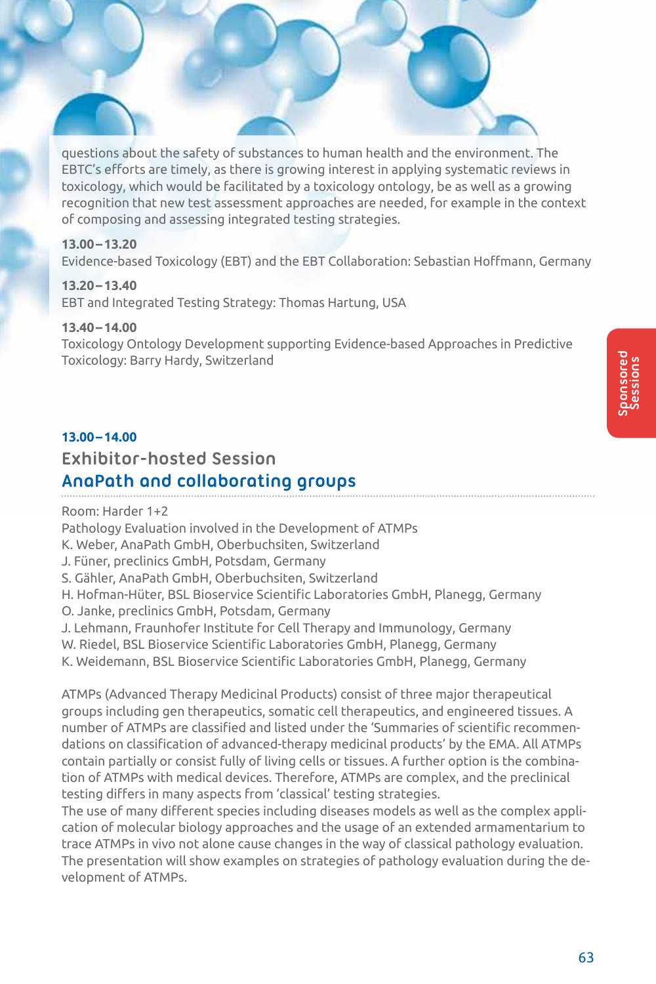questions about the safety of substances to human health and the environment. The EBTC's efforts are timely, as there is growing interest in applying systematic reviews in toxicology, which would be facilitated by a toxicology ontology, be as well as a growing recognition that new test assessment approaches are needed, for example in the context of composing and assessing integrated testing strategies.

#### **13.00–13.20**

Evidence-based Toxicology (EBT) and the EBT Collaboration: Sebastian Hoffmann, Germany

# **13.20–13.40**

EBT and Integrated Testing Strategy: Thomas Hartung, USA

#### **13.40–14.00**

Toxicology Ontology Development supporting Evidence-based Approaches in Predictive Toxicology: Barry Hardy, Switzerland

#### **13.00–14.00**

# **Exhibitor-hosted Session**

# **AnaPath and collaborating groups**

Room: Harder 1+2 Pathology Evaluation involved in the Development of ATMPs K. Weber, AnaPath GmbH, Oberbuchsiten, Switzerland J. Füner, preclinics GmbH, Potsdam, Germany S. Gähler, AnaPath GmbH, Oberbuchsiten, Switzerland H. Hofman-Hüter, BSL Bioservice Scientific Laboratories GmbH, Planegg, Germany O. Janke, preclinics GmbH, Potsdam, Germany J. Lehmann, Fraunhofer Institute for Cell Therapy and Immunology, Germany W. Riedel, BSL Bioservice Scientific Laboratories GmbH, Planegg, Germany K. Weidemann, BSL Bioservice Scientific Laboratories GmbH, Planegg, Germany

ATMPs (Advanced Therapy Medicinal Products) consist of three major therapeutical groups including gen therapeutics, somatic cell therapeutics, and engineered tissues. A number of ATMPs are classified and listed under the 'Summaries of scientific recommendations on classification of advanced-therapy medicinal products' by the EMA. All ATMPs contain partially or consist fully of living cells or tissues. A further option is the combination of ATMPs with medical devices. Therefore, ATMPs are complex, and the preclinical testing differs in many aspects from 'classical' testing strategies.

The use of many different species including diseases models as well as the complex application of molecular biology approaches and the usage of an extended armamentarium to trace ATMPs in vivo not alone cause changes in the way of classical pathology evaluation. The presentation will show examples on strategies of pathology evaluation during the development of ATMPs.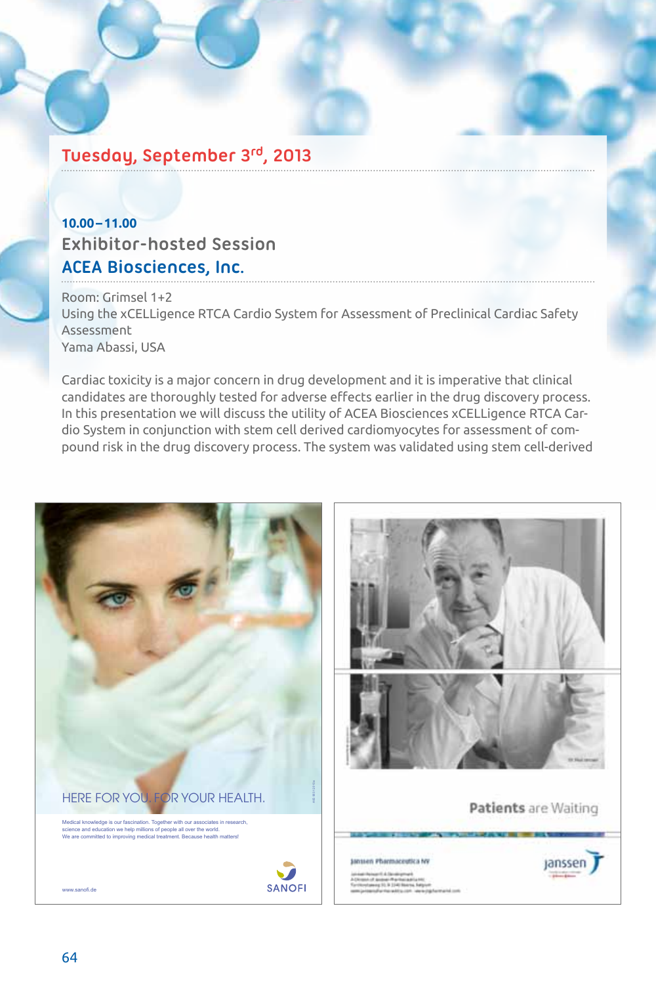# **Tuesday, September 3rd, 2013**

# **10.00–11.00 Exhibitor-hosted Session ACEA Biosciences, Inc.**

Room: Grimsel 1+2 Using the xCELLigence RTCA Cardio System for Assessment of Preclinical Cardiac Safety Assessment Yama Abassi, USA

Cardiac toxicity is a major concern in drug development and it is imperative that clinical candidates are thoroughly tested for adverse effects earlier in the drug discovery process. In this presentation we will discuss the utility of ACEA Biosciences xCELLigence RTCA Cardio System in conjunction with stem cell derived cardiomyocytes for assessment of compound risk in the drug discovery process. The system was validated using stem cell-derived